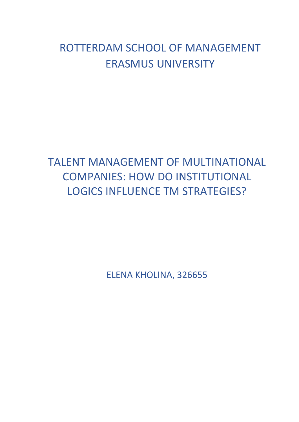# ROTTERDAM SCHOOL OF MANAGEMENT ERASMUS UNIVERSITY

# TALENT MANAGEMENT OF MULTINATIONAL COMPANIES: HOW DO INSTITUTIONAL LOGICS INFLUENCE TM STRATEGIES?

ELENA KHOLINA, 326655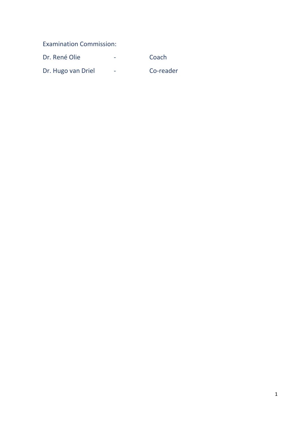Examination Commission:

| Dr. René Olie      | -                        | Coach     |
|--------------------|--------------------------|-----------|
| Dr. Hugo van Driel | $\overline{\phantom{a}}$ | Co-reader |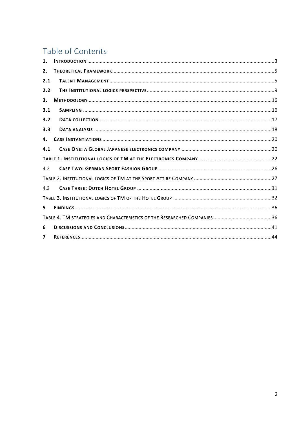# Table of Contents

| 1.             |  |
|----------------|--|
| 2.             |  |
| 2.1            |  |
| 2.2            |  |
| 3.             |  |
| 3.1            |  |
| 3.2            |  |
| 3.3            |  |
| 4.             |  |
| 4.1            |  |
|                |  |
| 4.2            |  |
|                |  |
| 4.3            |  |
|                |  |
| 5              |  |
|                |  |
| 6              |  |
| $\overline{ }$ |  |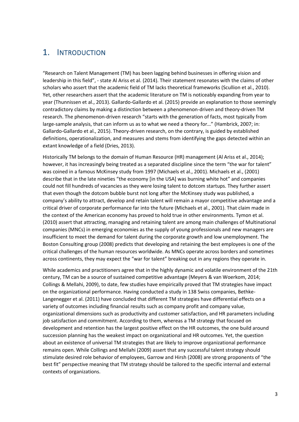# <span id="page-3-0"></span>1. INTRODUCTION

"Research on Talent Management (TM) has been lagging behind businesses in offering vision and leadership in this field", - state Al Ariss et al. (2014). Their statement resonates with the claims of other scholars who assert that the academic field of TM lacks theoretical frameworks (Scullion et al., 2010). Yet, other researchers assert that the academic literature on TM is noticeably expanding from year to year (Thunnissen et al., 2013). Gallardo-Gallardo et al. (2015) provide an explanation to those seemingly contradictory claims by making a distinction between a phenomenon-driven and theory-driven TM research. The phenomenon-driven research "starts with the generation of facts, most typically from large-sample analysis, that can inform us as to what we need a theory for…" (Hambrick, 2007; in: Gallardo-Gallardo et al., 2015). Theory-driven research, on the contrary, is guided by established definitions, operationalization, and measures and stems from identifying the gaps detected within an extant knowledge of a field (Dries, 2013).

Historically TM belongs to the domain of Human Resource (HR) management (Al Ariss et al., 2014); however, it has increasingly being treated as a separated discipline since the term "the war for talent" was coined in a famous McKinsey study from 1997 (Michaels et al., 2001). Michaels et al., (2001) describe that in the late nineties "the economy [in the USA] was burning white hot" and companies could not fill hundreds of vacancies as they were losing talent to dotcom startups. They further assert that even though the dotcom bubble burst not long after the McKinsey study was published, a company's ability to attract, develop and retain talent will remain a mayor competitive advantage and a critical driver of corporate performance far into the future (Michaels et al., 2001). That claim made in the context of the American economy has proved to hold true in other environments. Tymon et al. (2010) assert that attracting, managing and retaining talent are among main challenges of Multinational companies (MNCs) in emerging economies as the supply of young professionals and new managers are insufficient to meet the demand for talent during the corporate growth and low unemployment. The Boston Consulting group (2008) predicts that developing and retaining the best employees is one of the critical challenges of the human resources worldwide. As MNCs operate across borders and sometimes across continents, they may expect the "war for talent" breaking out in any regions they operate in.

While academics and practitioners agree that in the highly dynamic and volatile environment of the 21th century, TM can be a source of sustained competitive advantage (Meyers & van Woerkom, 2014; Collings & Mellahi, 2009), to date, few studies have empirically proved that TM strategies have impact on the organizational performance. Having conducted a study in 138 Swiss companies, Bethke-Langenegger et al. (2011) have concluded that different TM strategies have differential effects on a variety of outcomes including financial results such as company profit and company value, organizational dimensions such as productivity and customer satisfaction, and HR parameters including job satisfaction and commitment. According to them, whereas a TM strategy that focused on development and retention has the largest positive effect on the HR outcomes, the one build around succession planning has the weakest impact on organizational and HR outcomes. Yet, the question about an existence of universal TM strategies that are likely to improve organizational performance remains open. While Collings and Mellahi (2009) assert that any successful talent strategy should stimulate desired role behavior of employees, Garrow and Hirsh (2008) are strong proponents of "the best fit" perspective meaning that TM strategy should be tailored to the specific internal and external contexts of organizations.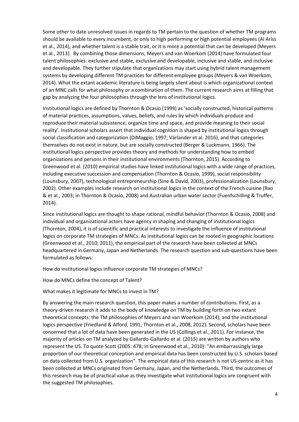Some other to date unresolved issues in regards to TM pertain to the question of whether TM programs should be available to every incumbent, or only to high performing or high potential employees (Al Ariss et al., 2014), and whether talent is a stable trait, or it is more a potential that can be developed (Meyers et al., 2013). By combining those dimensions, Meyers and van Woerkom (2014) have formulated four talent philosophies: exclusive and stable, exclusive and developable, inclusive and stable, and inclusive and developable. They further stipulate that organizations may start using hybrid talent management systems by developing different TM practices for different employee groups (Meyers & van Woerkom, 2014). What the extant academic literature is being largely silent about is which organizational context of an MNC calls for what philosophy or a combination of them. The current research aims at filling that gap by analyzing the four philosophies through the lens of institutional logics.

Institutional logics are defined by Thornton & Ocasio (1999) as 'socially constructed, historical patterns of material practices, assumptions, values, beliefs, and rules by which individuals produce and reproduce their material subsistence, organize time and space, and provide meaning to their social reality'. Institutional scholars assert that individual cognition is shaped by institutional logics through social classification and categorization (DiMaggio, 1997; Värlander et al. 2016), and that categories themselves do not exist in nature, but are socially constructed (Berger & Luckmann, 1966). The institutional logics perspective provides theory and methods for understanding how to embed organizations and persons in their institutional environments (Thornton, 2015). According to Greenwood et al. (2010) empirical studies have linked institutional logics with a wide range of practices, including executive succession and compensation (Thornton & Ocasio, 1999), social responsibility (Lounsbury, 2007), technological entrepreneurship (Sine & David, 2003), professionalization (Lounsbury, 2002). Other examples include research on institutional logics in the context of the French cuisine (Rao & et al., 2003; in Thornton & Ocasio, 2008) and Australian urban water sector (Fuenfschilling & Truffer, 2014).

Since institutional logics are thought to shape rational, mindful behavior (Thornton & Ocasio, 2008) and individual and organizational actors have agency in shaping and changing of institutional logics (Thornton, 2004), it is of scientific and practical interests to investigate the influence of institutional logics on corporate TM strategies of MNCs. As institutional logics can be rooted in geographic locations (Greenwood et al., 2010; 2011), the empirical part of the research have been collected at MNCs headquartered in Germany, Japan and Netherlands. The research question and sub-questions have been formulated as follows:

How do institutional logics influence corporate TM strategies of MNCs?

How do MNCs define the concept of Talent?

What makes it legitimate for MNCs to invest in TM?

By answering the main research question, this paper makes a number of contributions. First, as a theory-driven research it adds to the body of knowledge on TM by building forth on two extant theoretical concepts: the TM philosophies of Meyers and van Woerkom (2014), and the institutional logics perspective (Friedland & Alford, 1991; Thornton et al., 2008, 2012). Second, scholars have been concerned that a lot of data have been generated in the US (Collings et al., 2011). For instance, the majority of articles on TM analyzed by Gallardo-Gallardo et al. (2015) are written by authors who represent the US. To quote Scott (2005: 478; in Greenwood et al., 2010): "An embarrassingly large proportion of our theoretical conception and empirical data has been constructed by U.S. scholars based on data collected from U.S. organization". The empirical data of this research is not US-centric as it has been collected at MNCs originated from Germany, Japan, and the Netherlands. Third, the outcomes of this research may be of practical value as they investigate what institutional logics are congruent with the suggested TM philosophies.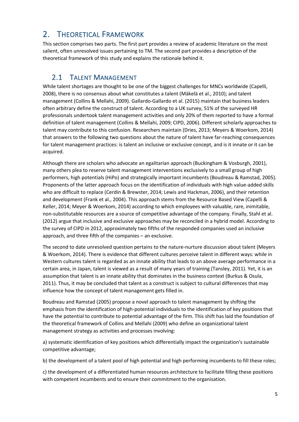# <span id="page-5-0"></span>2. THEORETICAL FRAMEWORK

This section comprises two parts. The first part provides a review of academic literature on the most salient, often unresolved issues pertaining to TM. The second part provides a description of the theoretical framework of this study and explains the rationale behind it.

# <span id="page-5-1"></span>2.1 TALENT MANAGEMENT

While talent shortages are thought to be one of the biggest challenges for MNCs worldwide (Capelli, 2008), there is no consensus about what constitutes a talent (Mäkelä et al., 2010); and talent management (Collins & Mellahi, 2009). Gallardo-Gallardo et al. (2015) maintain that business leaders often arbitrary define the construct of talent. According to a UK survey, 51% of the surveyed HR professionals undertook talent management activities and only 20% of them reported to have a formal definition of talent management (Collins & Mellahi, 2009; CIPD, 2006). Different scholarly approaches to talent may contribute to this confusion. Researchers maintain (Dries, 2013; Meyers & Woerkom, 2014) that answers to the following two questions about the nature of talent have far-reaching consequences for talent management practices: is talent an inclusive or exclusive concept, and is it innate or it can be acquired.

Although there are scholars who advocate an egalitarian approach (Buckingham & Vosburgh, 2001), many others plea to reserve talent management interventions exclusively to a small group of high performers, high potentials (HiPo) and strategically important incumbents (Boudreau & Ramstad, 2005). Proponents of the latter approach focus on the identification of individuals with high value-added skills who are difficult to replace (Cerdin & Brewster, 2014; Lewis and Hackman, 2006), and their retention and development (Frank et al., 2004). This approach stems from the Resource Based View (Capelli & Keller, 2014; Meyer & Woerkom, 2014) according to which employees with valuable, rare, inimitable, non-substitutable resources are a source of competitive advantage of the company. Finally, Stahl et al. (2012) argue that inclusive and exclusive approaches may be reconciled in a hybrid model. According to the survey of CIPD in 2012, approximately two fifths of the responded companies used an inclusive approach, and three fifth of the companies – an exclusive.

The second to date unresolved question pertains to the nature-nurture discussion about talent (Meyers & Woerkom, 2014). There is evidence that different cultures perceive talent in different ways: while in Western cultures talent is regarded as an innate ability that leads to an above average performance in a certain area, in Japan, talent is viewed as a result of many years of training (Tansley, 2011). Yet, it is an assumption that talent is an innate ability that dominates in the business context (Burkus & Osula, 2011). Thus, it may be concluded that talent as a construct is subject to cultural differences that may influence how the concept of talent management gets filled in.

Boudreau and Ramstad (2005) propose a novel approach to talent management by shifting the emphasis from the identification of high-potential individuals to the identification of key positions that have the potential to contribute to potential advantage of the firm. This shift has laid the foundation of the theoretical framework of Collins and Mellahi (2009) who define an organizational talent management strategy as activities and processes involving:

a) systematic identification of key positions which differentially impact the organization's sustainable competitive advantage;

b) the development of a talent pool of high potential and high performing incumbents to fill these roles;

c) the development of a differentiated human resources architecture to facilitate filling these positions with competent incumbents and to ensure their commitment to the organisation.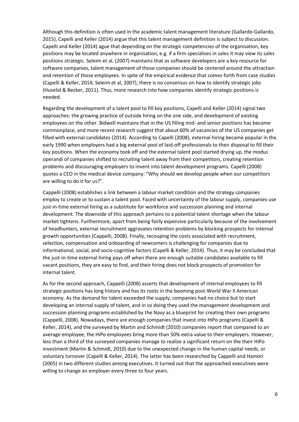Although this definition is often used in the academic talent management literature (Gallardo-Gallardo, 2015), Capelli and Keller (2014) argue that this talent management definition is subject to discussion. Capelli and Keller (2014) ague that depending on the strategic competencies of the organisation, key positions may be located anywhere in organisation, e.g. if a firm specialises in sales it may view its sales positions strategic. Seleim et al. (2007) maintains that as software developers are a key resource for software companies, talent management of those companies should be centered around the attraction and retention of those employees. In spite of the empirical evidence that comes forth from case studies (Capelli & Keller, 2014; Seleim et al, 2007), there is no consensus on how to identify strategic jobs (Huselid & Becker, 2011). Thus, more research into how companies identify strategic positions is needed.

Regarding the development of a talent pool to fill key positions, Capelli and Keller (2014) signal two approaches: the growing practice of outside hiring on the one side, and development of existing employees on the other. Bidwell maintains that in the US filling mid- and senior positions has become commonplace, and more recent research suggest that about 60% of vacancies of the US companies get filled with external candidates (2014). According to Capelli (2008), external hiring became popular in the early 1990 when employers had a big external pool of laid-off professionals to their disposal to fill their key positions. When the economy took off and the external talent pool started drying up, the modus operandi of companies shifted to recruiting talent away from their competitors, creating retention problems and discouraging employers to invent into talent development programs. Capelli (2008) quotes a CEO in the medical device company: "Why should we develop people when our competitors are willing to do it for us?".

Cappelli (2008) establishes a link between a labour market condition and the strategy companies employ to create or to sustain a talent pool. Faced with uncertainty of the labour supply, companies use just-in-time external hiring as a substitute for workforce and succession planning and internal development. The downside of this approach pertains to a potential talent shortage when the labour market tightens. Furthermore, apart from being fairly expensive particularly because of the involvement of headhunters, external recruitment aggravates retention problems by blocking prospects for internal growth opportunities (Cappelli, 2008). Finally, recouping the costs associated with recruitment, selection, compensation and onboarding of newcomers is challenging for companies due to informational, social, and socio-cognitive factors (Capelli & Keller, 2014). Thus, it may be concluded that the just-in-time external hiring pays off when there are enough suitable candidates available to fill vacant positions, they are easy to find, and their hiring does not block prospects of promotion for internal talent.

As for the second approach, Cappelli (2008) asserts that development of internal employees to fill strategic positions has long history and has its roots in the booming post-World War II American economy. As the demand for talent exceeded the supply, companies had no choice but to start developing an internal supply of talent, and in so doing they used the management development and succession planning programs established by the Navy as a blueprint for creating their own programs (Cappelli, 2008). Nowadays, there are enough companies that invest into HiPo programs (Capelli & Keller, 2014), and the surveyed by Martin and Schmidt (2010) companies report that compared to an average employee, the HiPo employees bring more than 50% extra value to their employers. However, less than a third of the surveyed companies manage to realize a significant return on the their HiPo investment (Martin & Schmidt, 2010) due to the unexpected change in the human capital needs, or voluntary turnover (Capelli & Keller, 2014). The latter has been researched by Cappelli and Hamori (2005) in two different studies among executives. It turned out that the approached executives were willing to change an employer every three to four years.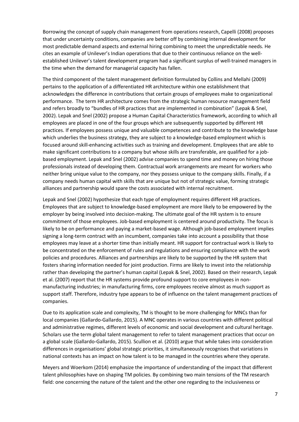Borrowing the concept of supply chain management from operations research, Capelli (2008) proposes that under uncertainty conditions, companies are better off by combining internal development for most predictable demand aspects and external hiring combining to meet the unpredictable needs. He cites an example of Unilever's Indian operations that due to their continuous reliance on the wellestablished Unilever's talent development program had a significant surplus of well-trained managers in the time when the demand for managerial capacity has fallen.

The third component of the talent management definition formulated by Collins and Mellahi (2009) pertains to the application of a differentiated HR architecture within one establishment that acknowledges the difference in contributions that certain groups of employees make to organizational performance. The term HR architecture comes from the strategic human resource management field and refers broadly to "bundles of HR practices that are implemented in combination" (Lepak & Snel, 2002). Lepak and Snel (2002) propose a Human Capital Characteristics framework, according to which all employees are placed in one of the four groups which are subsequently supported by different HR practices. If employees possess unique and valuable competences and contribute to the knowledge base which underlies the business strategy, they are subject to a knowledge-based employment which is focused around skill-enhancing activities such as training and development. Employees that are able to make significant contributions to a company but whose skills are transferable, are qualified for a jobbased employment. Lepak and Snel (2002) advise companies to spend time and money on hiring those professionals instead of developing them. Contractual work arrangements are meant for workers who neither bring unique value to the company, nor they possess unique to the company skills. Finally, if a company needs human capital with skills that are unique but not of strategic value, forming strategic alliances and partnership would spare the costs associated with internal recruitment.

Lepak and Snel (2002) hypothesize that each type of employment requires different HR practices. Employees that are subject to knowledge-based employment are more likely to be empowered by the employer by being involved into decision-making. The ultimate goal of the HR system is to ensure commitment of those employees. Job-based employment is centered around productivity. The focus is likely to be on performance and paying a market-based wage. Although job-based employment implies signing a long-term contract with an incumbent, companies take into account a possibility that those employees may leave at a shorter time than initially meant. HR support for contractual work is likely to be concentrated on the enforcement of rules and regulations and ensuring compliance with the work policies and procedures. Alliances and partnerships are likely to be supported by the HR system that fosters sharing information needed for joint production. Firms are likely to invest into the relationship rather than developing the partner's human capital (Lepak & Snel, 2002). Based on their research, Lepak et al. (2007) report that the HR systems provide profound support to core employees in nonmanufacturing industries; in manufacturing firms, core employees receive almost as much support as support staff. Therefore, industry type appears to be of influence on the talent management practices of companies.

Due to its application scale and complexity, TM is thought to be more challenging for MNCs than for local companies (Gallardo-Gallardo, 2015). A MNC operates in various countries with different political and administrative regimes, different levels of economic and social development and cultural heritage. Scholars use the term global talent management to refer to talent management practices that occur on a global scale (Gallardo-Gallardo, 2015). Scullion et al. (2010) argue that while takes into consideration differences in organisations' global strategic priorities, it simultaneously recognises that variations in national contexts has an impact on how talent is to be managed in the countries where they operate.

Meyers and Woerkom (2014) emphasize the importance of understanding of the impact that different talent philosophies have on shaping TM policies. By combining two main tensions of the TM research field: one concerning the nature of the talent and the other one regarding to the inclusiveness or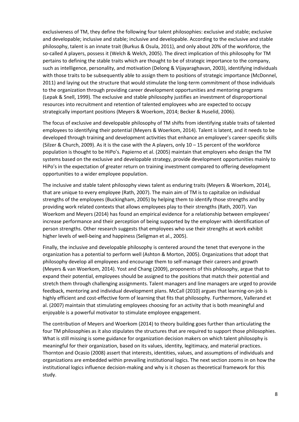exclusiveness of TM, they define the following four talent philosophies: exclusive and stable; exclusive and developable; inclusive and stable; inclusive and developable. According to the exclusive and stable philosophy, talent is an innate trait (Burkus & Osula, 2011), and only about 20% of the workforce, the so-called A players, possess it (Welch & Welch, 2005). The direct implication of this philosophy for TM pertains to defining the stable traits which are thought to be of strategic importance to the company, such as intelligence, personality, and motivation (Delong & Vijayaraghavan, 2003), identifying individuals with those traits to be subsequently able to assign them to positions of strategic importance (McDonnel, 2011) and laying out the structure that would stimulate the long-term commitment of those individuals to the organization through providing career development opportunities and mentoring programs (Lepak & Snell, 1999). The exclusive and stable philosophy justifies an investment of disproportional resources into recruitment and retention of talented employees who are expected to occupy strategically important positions (Meyers & Woerkom, 2014; Becker & Huselid, 2006).

The focus of exclusive and developable philosophy of TM shifts from identifying stable traits of talented employees to identifying their potential (Meyers & Woerkom, 2014). Talent is latent, and it needs to be developed through training and development activities that enhance an employee's career-specific skills (Silzer & Church, 2009). As it is the case with the A players, only 10 – 15 percent of the workforce population is thought to be HiPo's. Papierno et al. (2005) maintain that employers who design the TM systems based on the exclusive and developable strategy, provide development opportunities mainly to HiPo's in the expectation of greater return on training investment compared to offering development opportunities to a wider employee population.

The inclusive and stable talent philosophy views talent as enduring traits (Meyers & Woerkom, 2014), that are unique to every employee (Rath, 2007). The main aim of TM is to capitalize on individual strengths of the employees (Buckingham, 2005) by helping them to identify those strengths and by providing work related contexts that allows employees play to their strengths (Rath, 2007). Van Woerkom and Meyers (2014) has found an empirical evidence for a relationship between employees' increase performance and their perception of being supported by the employer with identification of person strengths. Other research suggests that employees who use their strengths at work exhibit higher levels of well-being and happiness (Seligman et al., 2005).

Finally, the inclusive and developable philosophy is centered around the tenet that everyone in the organization has a potential to perform well (Ashton & Morton, 2005). Organizations that adopt that philosophy develop all employees and encourage them to self-manage their careers and growth (Meyers & van Woerkom, 2014). Yost and Chang (2009), proponents of this philosophy, argue that to expand their potential, employees should be assigned to the positions that match their potential and stretch them through challenging assignments. Talent managers and line managers are urged to provide feedback, mentoring and individual development plans. McCall (2010) argues that learning-on-job is highly efficient and cost-effective form of learning that fits that philosophy. Furthermore, Vallerand et al. (2007) maintain that stimulating employees choosing for an activity that is both meaningful and enjoyable is a powerful motivator to stimulate employee engagement.

The contribution of Meyers and Woerkom (2014) to theory building goes further than articulating the four TM philosophies as it also stipulates the structures that are required to support those philosophies. What is still missing is some guidance for organization decision makers on which talent philosophy is meaningful for their organization, based on its values, identity, legitimacy, and material practices. Thornton and Ocasio (2008) assert that interests, identities, values, and assumptions of individuals and organizations are embedded within prevailing institutional logics. The next section zooms in on how the institutional logics influence decision-making and why is it chosen as theoretical framework for this study.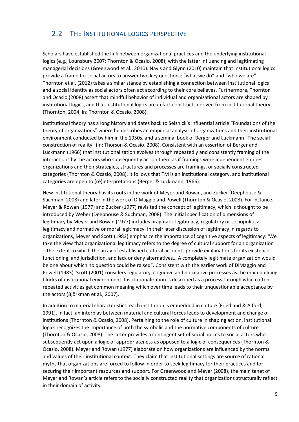# <span id="page-9-0"></span>2.2 THE INSTITUTIONAL LOGICS PERSPECTIVE

Scholars have established the link between organizational practices and the underlying institutional logics (e.g., Lounsbury 2007; Thornton & Ocasio, 2008), with the latter influencing and legitimating managerial decisions (Greenwood et al., 2010). Navis and Glynn (2010) maintain that institutional logics provide a frame for social actors to answer two key questions: "what we do" and "who we are". Thornton et al. (2012) takes a similar stance by establishing a connection between institutional logics and a social identity as social actors often act according to their core believes. Furthermore, Thornton and Ocasio (2008) assert that mindful behavior of individual and organizational actors are shaped by institutional logics, and that institutional logics are in fact constructs derived from institutional theory (Thornton, 2004, in: Thornton & Ocasio, 2008).

Institutional theory has a long history and dates back to Selznick's influential article "Foundations of the theory of organizations" where he describes an empirical analysis of organizations and their institutional environment conducted by him in the 1950s, and a seminal book of Berger and Luckmann "The social construction of reality" (in: Thorson & Ocasio, 2008). Consistent with an assertion of Berger and Luckmann (1966) that institutionalization evolves through repeatedly and consistently framing of the interactions by the actors who subsequently act on them as if framings were independent entities, organizations and their strategies, structures and processes are framings, or socially constructed categories (Thornton & Ocasio, 2008). It follows that TM is an institutional category, and institutional categories are open to (re)interpretations (Berger & Luckmann, 1966).

New institutional theory has its roots in the work of Meyer and Rowan, and Zucker (Deephouse & Suchman, 2008) and later in the work of DiMaggio and Powell (Thornton & Ocasio, 2008). For instance, Meyer & Rowan (1977) and Zucker (1977) revisited the concept of legitimacy, which is thought to be introduced by Weber (Deephouse & Suchman, 2008). The initial specification of dimensions of legitimacy by Meyer and Rowan (1977) includes pragmatic legitimacy, regulatory or sociopolitical legitimacy and normative or moral legitimacy. In their later discussion of legitimacy in regards to organizations, Meyer and Scott (1983) emphasize the importance of cognitive aspects of legitimacy: 'We take the view that organizational legitimacy refers to the degree of cultural support for an organization – the extent to which the array of established cultural accounts provide explanations for its existence, functioning, and jurisdiction, and lack or deny alternatives… A completely legitimate organization would be one about which no question could be raised". Consistent with the earlier work of DiMaggio and Powell (1983), Scott (2001) considers regulatory, cognitive and normative processes as the main building blocks of institutional environment. Institutionalization is described as a process through which often repeated activities get common meaning which over time leads to their unquestionable acceptance by the actors (Björkman et al., 2007).

In addition to material characteristics, each institution is embedded in culture (Friedland & Alford, 1991). In fact, an interplay between material and cultural forces leads to development and change of institutions (Thornton & Ocasio, 2008). Pertaining to the role of culture in shaping action, institutional logics recognizes the importance of both the symbolic and the normative components of culture (Thornton & Ocasio, 2008). The latter provides a contingent set of social norms to social actors who subsequently act upon a logic of appropriateness as opposed to a logic of consequences (Thornton & Ocasio, 2008). Meyer and Rowan (1977) elaborate on how organizations are influenced by the norms and values of their institutional context. They claim that institutional settings are source of rational myths that organizations are forced to follow in order to seek legitimacy for their practices and for securing their important resources and support. For Greenwood and Meyer (2008), the main tenet of Meyer and Rowan's article refers to the socially constructed reality that organizations structurally reflect in their domain of activity.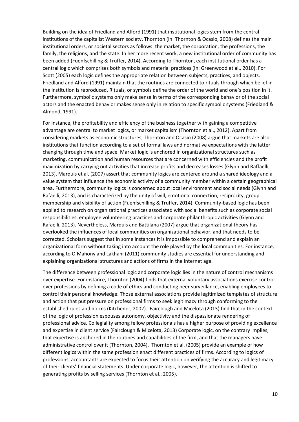Building on the idea of Friedland and Alford (1991) that institutional logics stem from the central institutions of the capitalist Western society, Thornton (in: Thornton & Ocasio, 2008) defines the main institutional orders, or societal sectors as follows: the market, the corporation, the professions, the family, the religions, and the state. In her more recent work, a new institutional order of community has been added (Fuenfschilling & Truffer, 2014). According to Thornton, each institutional order has a central logic which comprises both symbols and material practices (in: Greenwood et al., 2010). For Scott (2005) each logic defines the appropriate relation between subjects, practices, and objects. Friedland and Alford (1991) maintain that the routines are connected to rituals through which belief in the institution is reproduced. Rituals, or symbols define the order of the world and one's position in it. Furthermore, symbolic systems only make sense in terms of the corresponding behavior of the social actors and the enacted behavior makes sense only in relation to specific symbolic systems (Friedland & Almond, 1991).

For instance, the profitability and efficiency of the business together with gaining a competitive advantage are central to market logics, or market capitalism (Thornton et al., 2012). Apart from considering markets as economic structures, Thornton and Ocasio (2008) argue that markets are also institutions that function according to a set of formal laws and normative expectations with the latter changing through time and space. Market logic is anchored in organizational structures such as marketing, communication and human resources that are concerned with efficiencies and the profit maximization by carrying out activities that increase profits and decreases losses (Glynn and Raffaelli, 2013). Marquis et al. (2007) assert that community logics are centered around a shared ideology and a value system that influence the economic activity of a community member within a certain geographical area. Furthermore, community logics is concerned about local environment and social needs (Glynn and Rafaelli, 2013), and is characterized by the unity of will, emotional connection, reciprocity, group membership and visibility of action (Fuenfschilling & Truffer, 2014). Community-based logic has been applied to research on organizational practices associated with social benefits such as corporate social responsibilities, employee volunteering practices and corporate philanthropic activities (Glynn and Rafaelli, 2013). Nevertheless, Marquis and Battilana (2007) argue that organizational theory has overlooked the influences of local communities on organizational behavior, and that needs to be corrected. Scholars suggest that in some instances it is impossible to comprehend and explain an organizational form without taking into account the role played by the local communities. For instance, according to O'Mahony and Lakhani (2011) community studies are essential for understanding and explaining organizational structures and actions of firms in the Internet age.

The difference between professional logic and corporate logic lies in the nature of control mechanisms over expertise. For instance, Thornton (2004) finds that external voluntary associations exercise control over professions by defining a code of ethics and conducting peer surveillance, enabling employees to control their personal knowledge. Those external associations provide legitimized templates of structure and action that put pressure on professional firms to seek legitimacy through conforming to the established rules and norms (Kitchener, 2002). Fairclough and Micelota (2013) find that in the context of the logic of profession espouses autonomy, objectivity and the dispassionate rendering of professional advice. Collegiality among fellow professionals has a higher purpose of providing excellence and expertise in client service (Fairclough & Micelota, 2013) Corporate logic, on the contrary implies, that expertise is anchored in the routines and capabilities of the firm, and that the managers have administrative control over it (Thornton, 2004). Thornton et al. (2005) provide an example of how different logics within the same profession enact different practices of firms. According to logics of professions, accountants are expected to focus their attention on verifying the accuracy and legitimacy of their clients' financial statements. Under corporate logic, however, the attention is shifted to generating profits by selling services (Thornton et al., 2005).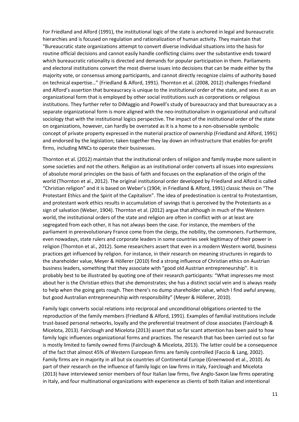For Friedland and Alford (1991), the institutional logic of the state is anchored in legal and bureaucratic hierarchies and is focused on regulation and rationalization of human activity. They maintain that "Bureaucratic state organizations attempt to convert diverse individual situations into the basis for routine official decisions and cannot easily handle conflicting claims over the substantive ends toward which bureaucratic rationality is directed and demands for popular participation in them. Parliaments and electoral institutions convert the most diverse issues into decisions that can be made either by the majority vote, or consensus among participants, and cannot directly recognize claims of authority based on technical expertise…" (Friedland & Alford, 1991). Thornton et al. (2008, 2012) challenges Friedland and Alford's assertion that bureaucracy is unique to the institutional order of the state, and sees it as an organizational form that is employed by other social institutions such as corporations or religious institutions. They further refer to DiMaggio and Powell's study of bureaucracy and that bureaucracy as a separate organizational form is more aligned with the neo-institutionalism in organizational and cultural sociology that with the institutional logics perspective. The impact of the institutional order of the state on organizations, however, can hardly be overrated as it is a home to a non-observable symbolic concept of private property expressed in the material practice of ownership (Friedland and Alford, 1991) and endorsed by the legislation; taken together they lay down an infrastructure that enables for-profit firms, including MNCs to operate their businesses.

Thornton et al. (2012) maintain that the institutional orders of religion and family maybe more salient in some societies and not the others. Religion as an institutional order converts all issues into expressions of absolute moral principles on the basis of faith and focuses on the explanation of the origin of the world (Thornton et al., 2012). The original institutional order developed by Friedland and Alford is called "Christian religion" and it is based on Weber's (1904; in Friedland & Alford, 1991) classic thesis on "The Protestant Ethics and the Spirit of the Capitalism". The idea of predestination is central to Protestantism, and protestant work ethics results in accumulation of savings that is perceived by the Protestants as a sign of salvation (Weber, 1904). Thornton et al. (2012) argue that although in much of the Western world, the institutional orders of the state and religion are often in conflict with or at least are segregated from each other, it has not always been the case. For instance, the members of the parliament in prerevolutionary France come from the clergy, the nobility, the commoners. Furthermore, even nowadays, state rulers and corporate leaders in some countries seek legitimacy of their power in religion (Thornton et al., 2012). Some researchers assert that even in a modern Western world, business practices get influenced by religion. For instance, in their research on meaning structures in regards to the shareholder value, Meyer & Hӧllerer (2010) find a strong influence of Christian ethics on Austrian business leaders, something that they associate with "good old Austrian entrepreneurship". It is probably best to be illustrated by quoting one of their research participants: "What impresses me most about her is the Christian ethics that she demonstrates; she has a distinct social vein and is always ready to help when the going gets rough. Then there's no dump shareholder value, which I find awful anyway, but good Australian entrepreneurship with responsibility" (Meyer & Höllerer, 2010).

Family logic converts social relations into reciprocal and unconditional obligations oriented to the reproduction of the family members (Friedland & Alford, 1991). Examples of familial institutions include trust-based personal networks, loyally and the preferential treatment of close associates (Fairclough & Micelota, 2013). Fairclough and Micelota (2013) assert that so far scant attention has been paid to how family logic influences organizational forms and practices. The research that has been carried out so far is mostly limited to family owned firms (Fairclough & Micelota, 2013). The latter could be a consequence of the fact that almost 45% of Western European firms are family controlled (Faccio & Lang, 2002). Family firms are in majority in all but six countries of Continental Europe (Greenwood et al., 2010). As part of their research on the influence of family logic on law firms in Italy, Fairclough and Micelota (2013) have interviewed senior members of four Italian law firms, five Anglo-Saxon law firms operating in Italy, and four multinational organizations with experience as clients of both Italian and intentional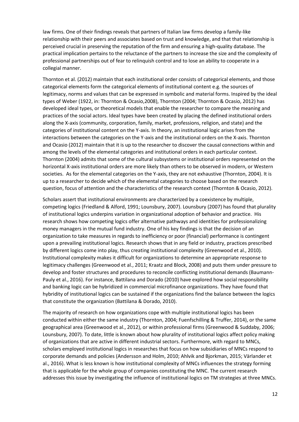law firms. One of their findings reveals that partners of Italian law firms develop a family-like relationship with their peers and associates based on trust and knowledge, and that that relationship is perceived crucial in preserving the reputation of the firm and ensuring a high-quality database. The practical implication pertains to the reluctance of the partners to increase the size and the complexity of professional partnerships out of fear to relinquish control and to lose an ability to cooperate in a collegial manner.

Thornton et al. (2012) maintain that each institutional order consists of categorical elements, and those categorical elements form the categorical elements of institutional content e.g. the sources of legitimacy, norms and values that can be expressed in symbolic and material forms. Inspired by the ideal types of Weber (1922, in: Thornton & Ocasio,2008), Thornton (2004; Thornton & Ocasio, 2012) has developed ideal types, or theoretical models that enable the researcher to compare the meaning and practices of the social actors. Ideal types have been created by placing the defined institutional orders along the X-axis (community, corporation, family, market, professions, religion, and state) and the categories of institutional content on the Y-axis. In theory, an institutional logic arises from the interactions between the categories on the Y-axis and the institutional orders on the X-axis. Thornton and Ocasio (2012) maintain that it is up to the researcher to discover the causal connections within and among the levels of the elemental categories and institutional orders in each particular context. Thornton (2004) admits that some of the cultural subsystems or institutional orders represented on the horizontal X-axis institutional orders are more likely than others to be observed in modern, or Western societies. As for the elemental categories on the Y-axis, they are not exhaustive (Thornton, 2004). It is up to a researcher to decide which of the elemental categories to choose based on the research question, focus of attention and the characteristics of the research context (Thornton & Ocasio, 2012).

Scholars assert that institutional environments are characterized by a coexistence by multiple, competing logics (Friedland & Alford, 1991; Lounsbury, 2007). Lounsbury (2007) has found that plurality of institutional logics underpins variation in organizational adoption of behavior and practice. His research shows how competing logics offer alternative pathways and identities for professionalizing money managers in the mutual fund industry. One of his key findings is that the decision of an organization to take measures in regards to inefficiency or poor (financial) performance is contingent upon a prevailing institutional logics. Research shows that in any field or industry, practices prescribed by different logics come into play, thus creating institutional complexity (Greenwood et al., 2010). Institutional complexity makes it difficult for organizations to determine an appropriate response to legitimacy challenges (Greenwood et al., 2011; Kraatz and Block, 2008) and puts them under pressure to develop and foster structures and procedures to reconcile conflicting institutional demands (Baumann-Pauly et al., 2016). For instance, Battilana and Dorado (2010) have explored how social responsibility and banking logic can be hybridized in commercial microfinance organizations. They have found that hybridity of institutional logics can be sustained if the organizations find the balance between the logics that constitute the organization (Battilana & Dorado, 2010).

The majority of research on how organizations cope with multiple institutional logics has been conducted within either the same industry (Thornton, 2004; Fuenfschilling & Truffer, 2014), or the same geographical area (Greenwood et al., 2012), or within professional firms (Greenwood & Suddaby, 2006; Lounsbury, 2007). To date, little is known about how plurality of institutional logics affect policy making of organizations that are active in different industrial sectors. Furthermore, with regard to MNCs, scholars employed institutional logics in researches that focus on how subsidiaries of MNCs respond to corporate demands and policies (Andersson and Holm, 2010; Ahlvik and Bjorkman, 2015; Vӓrlander et al., 2016). What is less known is how institutional complexity of MNCs influences the strategy forming that is applicable for the whole group of companies constituting the MNC. The current research addresses this issue by investigating the influence of institutional logics on TM strategies at three MNCs.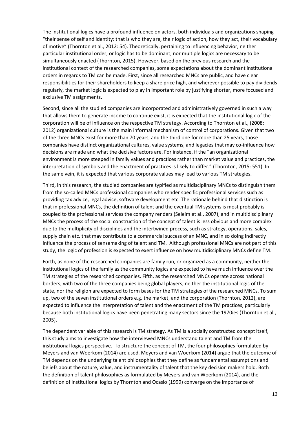The institutional logics have a profound influence on actors, both individuals and organizations shaping "their sense of self and identity: that is who they are, their logic of action, how they act, their vocabulary of motive" (Thornton et al., 2012: 54). Theoretically, pertaining to influencing behavior, neither particular institutional order, or logic has to be dominant, nor multiple logics are necessary to be simultaneously enacted (Thornton, 2015). However, based on the previous research and the institutional context of the researched companies, some expectations about the dominant institutional orders in regards to TM can be made. First, since all researched MNCs are public, and have clear responsibilities for their shareholders to keep a share price high, and wherever possible to pay dividends regularly, the market logic is expected to play in important role by justifying shorter, more focused and exclusive TM assignments.

Second, since all the studied companies are incorporated and administratively governed in such a way that allows them to generate income to continue exist, it is expected that the institutional logic of the corporation will be of influence on the respective TM strategy. According to Thornton et al., (2008; 2012) organizational culture is the main informal mechanism of control of corporations. Given that two of the three MNCs exist for more than 70 years, and the third one for more than 25 years, those companies have distinct organizational cultures, value systems, and legacies that may co-influence how decisions are made and what the decisive factors are. For instance, if the "an organizational environment is more steeped in family values and practices rather than market value and practices, the interpretation of symbols and the enactment of practices is likely to differ." (Thornton, 2015: 551). In the same vein, it is expected that various corporate values may lead to various TM strategies.

Third, in this research, the studied companies are typified as multidisciplinary MNCs to distinguish them from the so-called MNCs professional companies who render specific professional services such as providing tax advice, legal advice, software development etc. The rationale behind that distinction is that in professional MNCs, the definition of talent and the eventual TM systems is most probably is coupled to the professional services the company renders (Seleim et al., 2007), and in multidisciplinary MNCs the process of the social construction of the concept of talent is less obvious and more complex due to the multiplicity of disciplines and the intertwined process, such as strategy, operations, sales, supply chain etc. that may contribute to a commercial success of an MNC, and in so doing indirectly influence the process of sensemaking of talent and TM. Although professional MNCs are not part of this study, the logic of profession is expected to exert influence on how multidisciplinary MNCs define TM.

Forth, as none of the researched companies are family run, or organized as a community, neither the institutional logics of the family as the community logics are expected to have much influence over the TM strategies of the researched companies. Fifth, as the researched MNCs operate across national borders, with two of the three companies being global players, neither the institutional logic of the state, nor the religion are expected to form bases for the TM strategies of the researched MNCs. To sum up, two of the seven institutional orders e.g. the market, and the corporation (Thornton, 2012), are expected to influence the interpretation of talent and the enactment of the TM practices, particularly because both institutional logics have been penetrating many sectors since the 1970ies (Thornton et al., 2005).

The dependent variable of this research is TM strategy. As TM is a socially constructed concept itself, this study aims to investigate how the interviewed MNCs understand talent and TM from the institutional logics perspective. To structure the concept of TM, the four philosophies formulated by Meyers and van Woerkom (2014) are used. Meyers and van Woerkom (2014) argue that the outcome of TM depends on the underlying talent philosophies that they define as fundamental assumptions and beliefs about the nature, value, and instrumentality of talent that the key decision makers hold. Both the definition of talent philosophies as formulated by Meyers and van Woerkom (2014), and the definition of institutional logics by Thornton and Ocasio (1999) converge on the importance of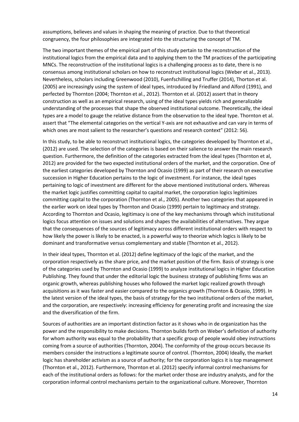assumptions, believes and values in shaping the meaning of practice. Due to that theoretical congruency, the four philosophies are integrated into the structuring the concept of TM.

The two important themes of the empirical part of this study pertain to the reconstruction of the institutional logics from the empirical data and to applying them to the TM practices of the participating MNCs. The reconstruction of the institutional logics is a challenging process as to date, there is no consensus among institutional scholars on how to reconstruct institutional logics (Weber et al., 2013). Nevertheless, scholars including Greenwood (2010), Fuenfschilling and Truffer (2014), Thorton et al. (2005) are increasingly using the system of ideal types, introduced by Friedland and Alford (1991), and perfected by Thornton (2004; Thornton et al., 2012). Thornton et al. (2012) assert that in theory construction as well as an empirical research, using of the ideal types yields rich and generalizable understanding of the processes that shape the observed institutional outcome. Theoretically, the ideal types are a model to gauge the relative distance from the observation to the ideal type. Thornton et al. assert that "The elemental categories on the vertical Y-axis are not exhaustive and can vary in terms of which ones are most salient to the researcher's questions and research context" (2012: 56).

In this study, to be able to reconstruct institutional logics, the categories developed by Thornton et al., (2012) are used. The selection of the categories is based on their salience to answer the main research question. Furthermore, the definition of the categories extracted from the ideal types (Thornton et al, 2012) are provided for the two expected institutional orders of the market, and the corporation. One of the earliest categories developed by Thornton and Ocasio (1999) as part of their research on executive succession in Higher Education pertains to the logic of investment. For instance, the ideal types pertaining to logic of investment are different for the above mentioned institutional orders. Whereas the market logic justifies committing capital to capital market, the corporation logics legitimizes committing capital to the corporation (Thornton et al., 2005). Another two categories that appeared in the earlier work on ideal types by Thornton and Ocasio (1999) pertain to legitimacy and strategy. According to Thornton and Ocasio, legitimacy is one of the key mechanisms through which institutional logics focus attention on issues and solutions and shapes the availabilities of alternatives. They argue that the consequences of the sources of legitimacy across different institutional orders with respect to how likely the power is likely to be enacted, is a powerful way to theorize which logics is likely to be dominant and transformative versus complementary and stable (Thornton et al., 2012).

In their ideal types, Thornton et al. (2012) define legitimacy of the logic of the market, and the corporation respectively as the share price, and the market position of the firm. Basis of strategy is one of the categories used by Thornton and Ocasio (1999) to analyze institutional logics in Higher Education Publishing. They found that under the editorial logic the business strategy of publishing firms was an organic growth, whereas publishing houses who followed the market logic realized growth through acquisitions as it was faster and easier compared to the organics growth (Thornton & Ocasio, 1999). In the latest version of the ideal types, the basis of strategy for the two institutional orders of the market, and the corporation, are respectively: increasing efficiency for generating profit and increasing the size and the diversification of the firm.

Sources of authorities are an important distinction factor as it shows who in de organization has the power and the responsibility to make decisions. Thornton builds forth on Weber's definition of authority for whom authority was equal to the probability that a specific group of people would obey instructions coming from a source of authorities (Thornton, 2004). The conformity of the group occurs because its members consider the instructions a legitimate source of control. (Thornton, 2004) Ideally, the market logic has shareholder activism as a source of authority; for the corporation logics it is top management (Thornton et al., 2012). Furthermore, Thornton et al. (2012) specify informal control mechanisms for each of the institutional orders as follows: for the market order those are industry analysts, and for the corporation informal control mechanisms pertain to the organizational culture. Moreover, Thornton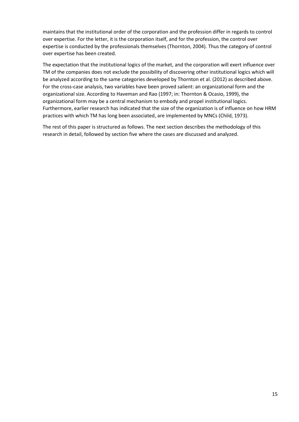maintains that the institutional order of the corporation and the profession differ in regards to control over expertise. For the letter, it is the corporation itself, and for the profession, the control over expertise is conducted by the professionals themselves (Thornton, 2004). Thus the category of control over expertise has been created.

The expectation that the institutional logics of the market, and the corporation will exert influence over TM of the companies does not exclude the possibility of discovering other institutional logics which will be analyzed according to the same categories developed by Thornton et al. (2012) as described above. For the cross-case analysis, two variables have been proved salient: an organizational form and the organizational size. According to Haveman and Rao (1997; in: Thornton & Ocasio, 1999), the organizational form may be a central mechanism to embody and propel institutional logics. Furthermore, earlier research has indicated that the size of the organization is of influence on how HRM practices with which TM has long been associated, are implemented by MNCs (Child, 1973).

The rest of this paper is structured as follows. The next section describes the methodology of this research in detail, followed by section five where the cases are discussed and analyzed.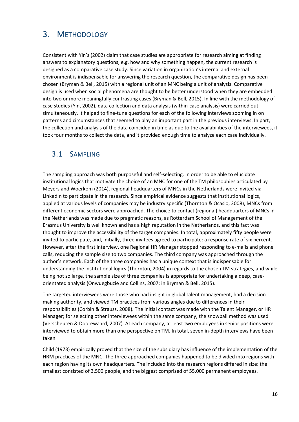# <span id="page-16-0"></span>3. METHODOLOGY

Consistent with Yin's (2002) claim that case studies are appropriate for research aiming at finding answers to explanatory questions, e.g. how and why something happen, the current research is designed as a comparative case study. Since variation in organization's internal and external environment is indispensable for answering the research question, the comparative design has been chosen (Bryman & Bell, 2015) with a regional unit of an MNC being a unit of analysis. Comparative design is used when social phenomena are thought to be better understood when they are embedded into two or more meaningfully contrasting cases (Bryman & Bell, 2015). In line with the methodology of case studies (Yin, 2002), data collection and data analysis (within-case analysis) were carried out simultaneously. It helped to fine-tune questions for each of the following interviews zooming in on patterns and circumstances that seemed to play an important part in the previous interviews. In part, the collection and analysis of the data coincided in time as due to the availabilities of the interviewees, it took four months to collect the data, and it provided enough time to analyze each case individually.

### <span id="page-16-1"></span>3.1 SAMPLING

The sampling approach was both purposeful and self-selecting. In order to be able to elucidate institutional logics that motivate the choice of an MNC for one of the TM philosophies articulated by Meyers and Woerkom (2014), regional headquarters of MNCs in the Netherlands were invited via LinkedIn to participate in the research. Since empirical evidence suggests that institutional logics, applied at various levels of companies may be industry specific (Thornton & Ocasio, 2008), MNCs from different economic sectors were approached. The choice to contact (regional) headquarters of MNCs in the Netherlands was made due to pragmatic reasons, as Rotterdam School of Management of the Erasmus University is well known and has a high reputation in the Netherlands, and this fact was thought to improve the accessibility of the target companies. In total, approximately fifty people were invited to participate, and, initially, three invitees agreed to participate: a response rate of six percent. However, after the first interview, one Regional HR Manager stopped responding to e-mails and phone calls, reducing the sample size to two companies. The third company was approached through the author's network. Each of the three companies has a unique context that is indispensable for understanding the institutional logics (Thornton, 2004) in regards to the chosen TM strategies, and while being not so large, the sample size of three companies is appropriate for undertaking a deep, caseorientated analysis (Onwuegbuzie and Collins, 2007; in Bryman & Bell, 2015).

The targeted interviewees were those who had insight in global talent management, had a decision making authority, and viewed TM practices from various angles due to differences in their responsibilities (Corbin & Strauss, 2008). The initial contact was made with the Talent Manager, or HR Manager; for selecting other interviewees within the same company, the snowball method was used (Verscheuren & Doorewaard, 2007). At each company, at least two employees in senior positions were interviewed to obtain more than one perspective on TM. In total, seven in-depth interviews have been taken.

Child (1973) empirically proved that the size of the subsidiary has influence of the implementation of the HRM practices of the MNC. The three approached companies happened to be divided into regions with each region having its own headquarters. The included into the research regions differed in size: the smallest consisted of 3.500 people, and the biggest comprised of 55.000 permanent employees.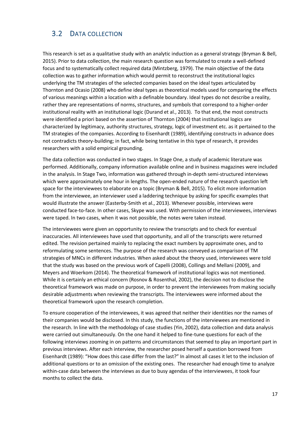## <span id="page-17-0"></span>3.2 DATA COLLECTION

This research is set as a qualitative study with an analytic induction as a general strategy (Bryman & Bell, 2015). Prior to data collection, the main research question was formulated to create a well-defined focus and to systematically collect required data (Mintzberg, 1979). The main objective of the data collection was to gather information which would permit to reconstruct the institutional logics underlying the TM strategies of the selected companies based on the ideal types articulated by Thornton and Ocasio (2008) who define ideal types as theoretical models used for comparing the effects of various meanings within a location with a definable boundary. Ideal types do not describe a reality, rather they are representations of norms, structures, and symbols that correspond to a higher-order institutional reality with an institutional logic (Durand et al., 2013). To that end, the most constructs were identified a priori based on the assertion of Thornton (2004) that institutional logics are characterized by legitimacy, authority structures, strategy, logic of investment etc. as it pertained to the TM strategies of the companies. According to Eisenhardt (1989), identifying constructs in advance does not contradicts theory-building; in fact, while being tentative in this type of research, it provides researchers with a solid empirical grounding.

The data collection was conducted in two stages. In Stage One, a study of academic literature was performed. Additionally, company information available online and in business magazines were included in the analysis. In Stage Two, information was gathered through in-depth semi-structured interviews which were approximately one hour in lengths. The open-ended nature of the research question left space for the interviewees to elaborate on a topic (Bryman & Bell, 2015). To elicit more information from the interviewee, an interviewer used a laddering technique by asking for specific examples that would illustrate the answer (Easterby-Smith et al., 2013). Whenever possible, interviews were conducted face-to-face. In other cases, Skype was used. With permission of the interviewees, interviews were taped. In two cases, when it was not possible, the notes were taken instead.

The interviewees were given an opportunity to review the transcripts and to check for eventual inaccuracies. All interviewees have used that opportunity, and all of the transcripts were returned edited. The revision pertained mainly to replacing the exact numbers by approximate ones, and to reformulating some sentences. The purpose of the research was conveyed as comparison of TM strategies of MNCs in different industries. When asked about the theory used, interviewees were told that the study was based on the previous work of Capelli (2008), Collings and Mellani (2009), and Meyers and Woerkom (2014). The theoretical framework of institutional logics was not mentioned. While it is certainly an ethical concern (Rosnov & Rosenthal, 2002), the decision not to disclose the theoretical framework was made on purpose, in order to prevent the interviewees from making socially desirable adjustments when reviewing the transcripts. The interviewees were informed about the theoretical framework upon the research completion.

To ensure cooperation of the interviewees, it was agreed that neither their identities nor the names of their companies would be disclosed. In this study, the functions of the interviewees are mentioned in the research. In line with the methodology of case studies (Yin, 2002), data collection and data analysis were carried out simultaneously. On the one hand it helped to fine-tune questions for each of the following interviews zooming in on patterns and circumstances that seemed to play an important part in previous interviews. After each interview, the researcher posed herself a question borrowed from Eisenhardt (1989): "How does this case differ from the last?" In almost all cases it let to the inclusion of additional questions or to an omission of the existing ones. The researcher had enough time to analyze within-case data between the interviews as due to busy agendas of the interviewees, it took four months to collect the data.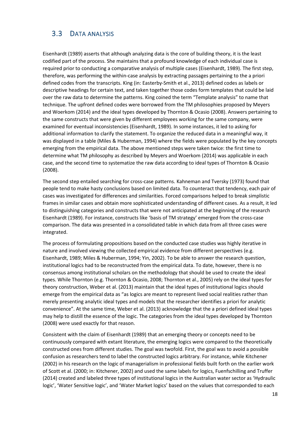### <span id="page-18-0"></span>3.3 DATA ANALYSIS

Eisenhardt (1989) asserts that although analyzing data is the core of building theory, it is the least codified part of the process. She maintains that a profound knowledge of each individual case is required prior to conducting a comparative analysis of multiple cases (Eisenhardt, 1989). The first step, therefore, was performing the within-case analysis by extracting passages pertaining to the a priori defined codes from the transcripts. King (in: Easterby-Smith et al., 2013) defined codes as labels or descriptive headings for certain text, and taken together those codes form templates that could be laid over the raw data to determine the patterns. King coined the term "Template analysis" to name that technique. The upfront defined codes were borrowed from the TM philosophies proposed by Meyers and Woerkom (2014) and the ideal types developed by Thornton & Ocasio (2008). Answers pertaining to the same constructs that were given by different employees working for the same company, were examined for eventual inconsistencies (Eisenhardt, 1989). In some instances, it led to asking for additional information to clarify the statement. To organize the reduced data in a meaningful way, it was displayed in a table (Miles & Huberman, 1994) where the fields were populated by the key concepts emerging from the empirical data. The above mentioned steps were taken twice: the first time to determine what TM philosophy as described by Meyers and Woerkom (2014) was applicable in each case, and the second time to systematize the raw data according to ideal types of Thornton & Ocasio (2008).

The second step entailed searching for cross-case patterns. Kahneman and Tversky (1973) found that people tend to make hasty conclusions based on limited data. To counteract that tendency, each pair of cases was investigated for differences and similarities. Forced comparisons helped to break simplistic frames in similar cases and obtain more sophisticated understanding of different cases. As a result, it led to distinguishing categories and constructs that were not anticipated at the beginning of the research Eisenhardt (1989). For instance, constructs like 'basis of TM strategy' emerged from the cross-case comparison. The data was presented in a consolidated table in which data from all three cases were integrated.

The process of formulating propositions based on the conducted case studies was highly iterative in nature and involved viewing the collected empirical evidence from different perspectives (e.g. Eisenhardt, 1989; Miles & Huberman, 1994; Yin, 2002). To be able to answer the research question, institutional logics had to be reconstructed from the empirical data. To date, however, there is no consensus among institutional scholars on the methodology that should be used to create the ideal types. While Thornton (e.g. Thornton & Ocasio, 2008; Thornton et al., 2005) rely on the ideal types for theory construction, Weber et al. (2013) maintain that the ideal types of institutional logics should emerge from the empirical data as "as logics are meant to represent lived social realities rather than merely presenting analytic ideal types and models that the researcher identifies a priori for analytic convenience". At the same time, Weber et al. (2013) acknowledge that the a priori defined ideal types may help to distill the essence of the logic. The categories from the ideal types developed by Thornton (2008) were used exactly for that reason.

Consistent with the claim of Eisenhardt (1989) that an emerging theory or concepts need to be continuously compared with extant literature, the emerging logics were compared to the theoretically constructed ones from different studies. The goal was twofold. First, the goal was to avoid a possible confusion as researchers tend to label the constructed logics arbitrary. For instance, while Kitchener (2002) in his research on the logic of managerialism in professional fields built forth on the earlier work of Scott et al. (2000; in: Kitchener, 2002) and used the same labels for logics, Fuenfschilling and Truffer (2014) created and labeled three types of institutional logics in the Australian water sector as 'Hydraulic logic', 'Water Sensitive logic', and 'Water Market logics' based on the values that corresponded to each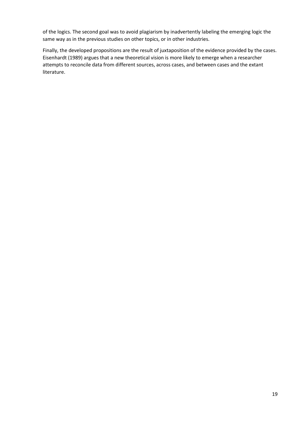of the logics. The second goal was to avoid plagiarism by inadvertently labeling the emerging logic the same way as in the previous studies on other topics, or in other industries.

Finally, the developed propositions are the result of juxtaposition of the evidence provided by the cases. Eisenhardt (1989) argues that a new theoretical vision is more likely to emerge when a researcher attempts to reconcile data from different sources, across cases, and between cases and the extant literature.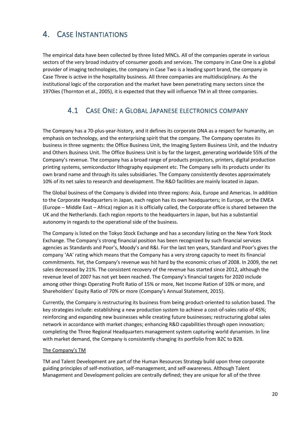# <span id="page-20-0"></span>4. CASE INSTANTIATIONS

The empirical data have been collected by three listed MNCs. All of the companies operate in various sectors of the very broad industry of consumer goods and services. The company in Case One is a global provider of imaging technologies, the company in Case Two is a leading sport brand, the company in Case Three is active in the hospitality business. All three companies are multidisciplinary. As the institutional logic of the corporation and the market have been penetrating many sectors since the 1970ies (Thornton et al., 2005), it is expected that they will influence TM in all three companies.

## <span id="page-20-1"></span>4.1 CASE ONE: A GLOBAL JAPANESE ELECTRONICS COMPANY

The Company has a 70-plus-year-history, and it defines its corporate DNA as a respect for humanity, an emphasis on technology, and the enterprising spirit that the company. The Company operates its business in three segments: the Office Business Unit, the Imaging System Business Unit, and the Industry and Others Business Unit. The Office Business Unit is by far the largest, generating worldwide 55% of the Company's revenue. The company has a broad range of products projectors, printers, digital production printing systems, semiconductor lithography equipment etc. The Company sells its products under its own brand name and through its sales subsidiaries. The Company consistently devotes approximately 10% of its net sales to research and development. The R&D facilities are mainly located in Japan.

The Global business of the Company is divided into three regions: Asia, Europe and Americas. In addition to the Corporate Headquarters in Japan, each region has its own headquarters; in Europe, or the EMEA (Europe – Middle East – Africa) region as it is officially called, the Corporate office is shared between the UK and the Netherlands. Each region reports to the headquarters in Japan, but has a substantial autonomy in regards to the operational side of the business.

The Company is listed on the Tokyo Stock Exchange and has a secondary listing on the New York Stock Exchange. The Company's strong financial position has been recognized by such financial services agencies as Standards and Poor's, Moody's and R&I. For the last ten years, Standard and Poor's gives the company 'AA' rating which means that the Company has a very strong capacity to meet its financial commitments. Yet, the Company's revenue was hit hard by the economic crises of 2008. In 2009, the net sales decreased by 21%. The consistent recovery of the revenue has started since 2012, although the revenue level of 2007 has not yet been reached. The Company's financial targets for 2020 include among other things Operating Profit Ratio of 15% or more, Net Income Ration of 10% or more, and Shareholders' Equity Ratio of 70% or more (Company's Annual Statement, 2015).

Currently, the Company is restructuring its business from being product-oriented to solution based. The key strategies include: establishing a new production system to achieve a cost-of-sales ratio of 45%; reinforcing and expanding new businesses while creating future businesses; restructuring global sales network in accordance with market changes; enhancing R&D capabilities through open innovation; completing the Three Regional Headquarters management system capturing world dynamism. In line with market demand, the Company is consistently changing its portfolio from B2C to B2B.

#### The Company's TM

TM and Talent Development are part of the Human Resources Strategy build upon three corporate guiding principles of self‐motivation, self‐management, and self‐awareness. Although Talent Management and Development policies are centrally defined; they are unique for all of the three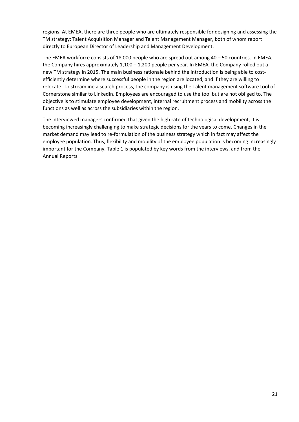regions. At EMEA, there are three people who are ultimately responsible for designing and assessing the TM strategy: Talent Acquisition Manager and Talent Management Manager, both of whom report directly to European Director of Leadership and Management Development.

The EMEA workforce consists of 18,000 people who are spread out among 40 – 50 countries. In EMEA, the Company hires approximately  $1,100 - 1,200$  people per year. In EMEA, the Company rolled out a new TM strategy in 2015. The main business rationale behind the introduction is being able to costefficiently determine where successful people in the region are located, and if they are willing to relocate. To streamline a search process, the company is using the Talent management software tool of Cornerstone similar to LinkedIn. Employees are encouraged to use the tool but are not obliged to. The objective is to stimulate employee development, internal recruitment process and mobility across the functions as well as across the subsidiaries within the region.

The interviewed managers confirmed that given the high rate of technological development, it is becoming increasingly challenging to make strategic decisions for the years to come. Changes in the market demand may lead to re-formulation of the business strategy which in fact may affect the employee population. Thus, flexibility and mobility of the employee population is becoming increasingly important for the Company. Table 1 is populated by key words from the interviews, and from the Annual Reports.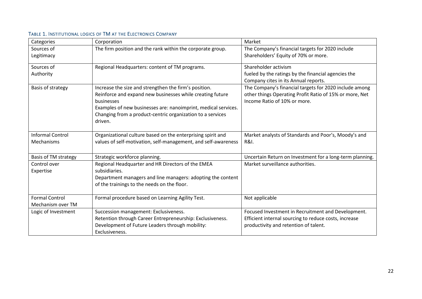<span id="page-22-0"></span>

| Categories                                 | Corporation                                                                                                                                                                                                                                                                 | Market                                                                                                                                               |
|--------------------------------------------|-----------------------------------------------------------------------------------------------------------------------------------------------------------------------------------------------------------------------------------------------------------------------------|------------------------------------------------------------------------------------------------------------------------------------------------------|
| Sources of<br>Legitimacy                   | The firm position and the rank within the corporate group.                                                                                                                                                                                                                  | The Company's financial targets for 2020 include<br>Shareholders' Equity of 70% or more.                                                             |
| Sources of<br>Authority                    | Regional Headquarters: content of TM programs.                                                                                                                                                                                                                              | Shareholder activism<br>fueled by the ratings by the financial agencies the<br>Company cites in its Annual reports.                                  |
| Basis of strategy                          | Increase the size and strengthen the firm's position.<br>Reinforce and expand new businesses while creating future<br>businesses<br>Examples of new businesses are: nanoimprint, medical services.<br>Changing from a product-centric organization to a services<br>driven. | The Company's financial targets for 2020 include among<br>other things Operating Profit Ratio of 15% or more, Net<br>Income Ratio of 10% or more.    |
| <b>Informal Control</b><br>Mechanisms      | Organizational culture based on the enterprising spirit and<br>values of self-motivation, self-management, and self-awareness                                                                                                                                               | Market analysts of Standards and Poor's, Moody's and<br>R&I.                                                                                         |
| Basis of TM strategy                       | Strategic workforce planning.                                                                                                                                                                                                                                               | Uncertain Return on Investment for a long-term planning.                                                                                             |
| Control over<br>Expertise                  | Regional Headquarter and HR Directors of the EMEA<br>subsidiaries.<br>Department managers and line managers: adopting the content<br>of the trainings to the needs on the floor.                                                                                            | Market surveillance authorities.                                                                                                                     |
| <b>Formal Control</b><br>Mechanism over TM | Formal procedure based on Learning Agility Test.                                                                                                                                                                                                                            | Not applicable                                                                                                                                       |
| Logic of Investment                        | Succession management: Exclusiveness.<br>Retention through Career Entrepreneurship: Exclusiveness.<br>Development of Future Leaders through mobility:<br>Exclusiveness.                                                                                                     | Focused Investment in Recruitment and Development.<br>Efficient internal sourcing to reduce costs, increase<br>productivity and retention of talent. |

#### TABLE 1. INSTITUTIONAL LOGICS OF TM AT THE ELECTRONICS COMPANY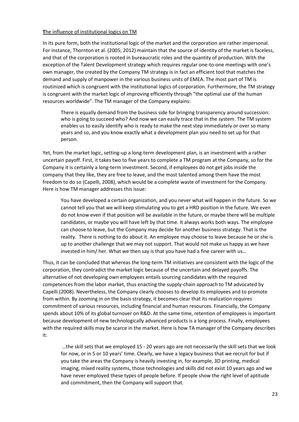#### **T**he influence of institutional logics on TM

In its pure form, both the institutional logic of the market and the corporation are rather impersonal. For instance, Thornton et al. (2005; 2012) maintain that the source of identity of the market is faceless, and that of the corporation is rooted in bureaucratic roles and the quantity of production. With the exception of the Talent Development strategy which requires regular one-to-one meetings with one's own manager, the created by the Company TM strategy is in fact an efficient tool that matches the demand and supply of manpower in the various business units of EMEA. The most part of TM is routinized which is congruent with the institutional logics of corporation. Furthermore, the TM strategy is congruent with the market logic of improving efficiently through "the optimal use of the human resources worldwide". The TM manager of the Company explains:

There is equally demand from the business side for bringing transparency around succession: who is going to succeed who? And now we can easily trace that in the system. The TM system enables us to easily identify who is ready to make the next step immediately or over so many years and so, and you know exactly what a development plan you need to set up for that person.

Yet, from the market logic, setting-up a long-term development plan, is an investment with a rather uncertain payoff. First, it takes two to five years to complete a TM program at the Company, so for the Company it is certainly a long-term investment. Second, if employees do not get jobs inside the company that they like, they are free to leave, and the most talented among them have the most freedom to do so (Capelli, 2008), which would be a complete waste of investment for the Company. Here is how TM manager addresses this issue:

You have developed a certain organization, and you never what will happen in the future. So we cannot tell you that we will keep stimulating you to get a HRD position in the future. We even do not know even if that position will be available in the future, or maybe there will be multiple candidates, or maybe you will have left by that time. It always works both ways. The employee can choose to leave, but the Company may decide for another business strategy. That is the reality. There is nothing to do about it. An employee may choose to leave because he or she is up to another challenge that we may not support. That would not make us happy as we have invested in him/ her. What we then say is that you have had a fine career with us…

Thus, it can be concluded that whereas the long-term TM initiatives are consistent with the logic of the corporation, they contradict the market logic because of the uncertain and delayed payoffs. The alternative of not developing own employees entails sourcing candidates with the required competences from the labor market, thus enacting the supply-chain approach to TM advocated by Capelli (2008). Nevertheless, the Company clearly chooses to develop its employees and to promote from within. By zooming in on the basis strategy, it becomes clear that its realization requires commitment of various resources, including financial and human resources. Financially, the Company spends about 10% of its global turnover on R&D. At the same time, retention of employees is important because development of new technologically advanced products is a long process. Finally, employees with the required skills may be scarce in the market. Here is how TA manager of the Company describes it:

…the skill sets that we employed 15 - 20 years ago are not necessarily the skill sets that we look for now, or in 5 or 10 years' time. Clearly, we have a legacy business that we recruit for but if you take the areas the Company is heavily investing in, for example, 3D printing, medical imaging, mixed reality systems, those technologies and skills did not exist 10 years ago and we have never employed these types of people before. If people show the right level of aptitude and commitment, then the Company will support that.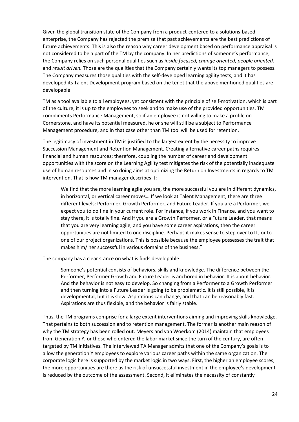Given the global transition state of the Company from a product-centered to a solutions-based enterprise, the Company has rejected the premise that past achievements are the best predictions of future achievements. This is also the reason why career development based on performance appraisal is not considered to be a part of the TM by the company. In her predictions of someone's performance, the Company relies on such personal qualities such as *inside focused, change oriented*, *people oriented,* and *result driven.* Those are the qualities that the Company certainly wants its top managers to possess. The Company measures those qualities with the self-developed learning agility tests, and it has developed its Talent Development program based on the tenet that the above mentioned qualities are developable.

TM as a tool available to all employees, yet consistent with the principle of self-motivation, which is part of the culture, it is up to the employees to seek and to make use of the provided opportunities. TM compliments Performance Management, so if an employee is not willing to make a profile on Cornerstone, and have its potential measured, he or she will still be a subject to Performance Management procedure, and in that case other than TM tool will be used for retention.

The legitimacy of investment in TM is justified to the largest extent by the necessity to improve Succession Management and Retention Management. Creating alternative career paths requires financial and human resources; therefore, coupling the number of career and development opportunities with the score on the Learning Agility test mitigates the risk of the potentially inadequate use of human resources and in so doing aims at optimizing the Return on Investments in regards to TM intervention. That is how TM manager describes it:

We find that the more learning agile you are, the more successful you are in different dynamics, in horizontal, or vertical career moves… If we look at Talent Management, there are three different levels: Performer, Growth Performer, and Future Leader. If you are a Performer, we expect you to do fine in your current role. For instance, if you work in Finance, and you want to stay there, it is totally fine. And if you are a Growth Performer, or a Future Leader, that means that you are very learning agile, and you have some career aspirations, then the career opportunities are not limited to one discipline. Perhaps it makes sense to step over to IT, or to one of our project organizations. This is possible because the employee possesses the trait that makes him/ her successful in various domains of the business."

The company has a clear stance on what is finds developable:

Someone's potential consists of behaviors, skills and knowledge. The difference between the Performer, Performer Growth and Future Leader is anchored in behavior. It is about behavior. And the behavior is not easy to develop. So changing from a Performer to a Growth Performer and then turning into a Future Leader is going to be problematic. It is still possible, it is developmental, but it is slow. Aspirations can change, and that can be reasonably fast. Aspirations are thus flexible, and the behavior is fairly stable.

Thus, the TM programs comprise for a large extent interventions aiming and improving skills knowledge. That pertains to both succession and to retention management. The former is another main reason of why the TM strategy has been rolled out. Meyers and van Woerkom (2014) maintain that employees from Generation Y, or those who entered the labor market since the turn of the century, are often targeted by TM initiatives. The interviewed TA Manager admits that one of the Company's goals is to allow the generation Y employees to explore various career paths within the same organization. The corporate logic here is supported by the market logic in two ways. First, the higher an employee scores, the more opportunities are there as the risk of unsuccessful investment in the employee's development is reduced by the outcome of the assessment. Second, it eliminates the necessity of constantly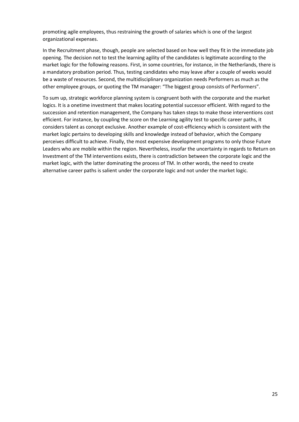promoting agile employees, thus restraining the growth of salaries which is one of the largest organizational expenses.

In the Recruitment phase, though, people are selected based on how well they fit in the immediate job opening. The decision not to test the learning agility of the candidates is legitimate according to the market logic for the following reasons. First, in some countries, for instance, in the Netherlands, there is a mandatory probation period. Thus, testing candidates who may leave after a couple of weeks would be a waste of resources. Second, the multidisciplinary organization needs Performers as much as the other employee groups, or quoting the TM manager: "The biggest group consists of Performers".

To sum up, strategic workforce planning system is congruent both with the corporate and the market logics. It is a onetime investment that makes locating potential successor efficient. With regard to the succession and retention management, the Company has taken steps to make those interventions cost efficient. For instance, by coupling the score on the Learning agility test to specific career paths, it considers talent as concept exclusive. Another example of cost-efficiency which is consistent with the market logic pertains to developing skills and knowledge instead of behavior, which the Company perceives difficult to achieve. Finally, the most expensive development programs to only those Future Leaders who are mobile within the region. Nevertheless, insofar the uncertainty in regards to Return on Investment of the TM interventions exists, there is contradiction between the corporate logic and the market logic, with the latter dominating the process of TM. In other words, the need to create alternative career paths is salient under the corporate logic and not under the market logic.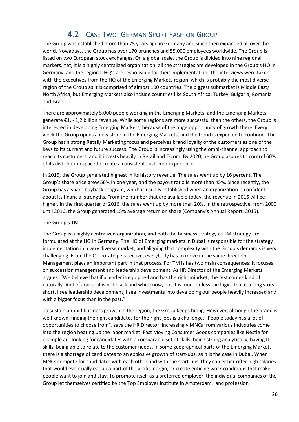# 4.2 CASE TWO: GERMAN SPORT FASHION GROUP

<span id="page-26-0"></span>The Group was established more than 75 years ago in Germany and since then expanded all over the world. Nowadays, the Group has over 170 brunches and 55,000 employees worldwide. The Group is listed on two European stock exchanges. On a global scale, the Group is divided into nine regional markers. Yet, it is a highly centralized organization; all the strategies are developed in the Group's HQ in Germany, and the regional HQ's are responsible for their implementation. The interviews were taken with the executives from the HQ of the Emerging Markets region, which is probably the most diverse region of the Group as it is comprised of almost 100 countries. The biggest submarket is Middle East/ North Africa, but Emerging Markets also include countries like South Africa, Turkey, Bulgaria, Romania and Israel.

There are approximately 5,000 people working in the Emerging Markets, and the Emerging Markets generate €1, - 1,2 billion revenue. While some regions are more successful than the others, the Group is interested in developing Emerging Markets, because of the huge opportunity of growth there. Every week the Group opens a new store in the Emerging Markets, and the trend is expected to continue. The Group has a strong Retail/ Marketing focus and perceives brand loyalty of the customers as one of the keys to its current and future success. The Group is increasingly using the omni-channel approach to reach its customers, and it invests heavily in Retail and E-com. By 2020, he Group aspires to control 60% of its distribution space to create a consistent customer experience.

In 2015, the Group generated highest in its history revenue. The sales went up by 16 percent. The Group's share price grew 56% in one year, and the payout ratio is more than 45%. Since recently, the Group has a share buyback program, which is usually established when an organization is confident about its financial strengths. From the number that are available today, the revenue in 2016 will be higher. In the first quarter of 2016, the sales went up by more than 20%. In the retrospective, from 2000 until 2016, the Group generated 15% average return on share (Company's Annual Report, 2015).

#### The Group's TM

The Group is a highly centralized organization, and both the business strategy as TM strategy are formulated at the HQ in Germany. The HQ of Emerging markets in Dubai is responsible for the strategy implementation in a very diverse market, and aligning that complexity with the Group's demands is very challenging. From the Corporate perspective, everybody has to move in the same direction. Management plays an important part in that process. For TM is has two main consequences: it focuses on succession management and leadership development. As HR Director of the Emerging Markets argues: "We believe that if a leader is equipped and has the right mindset, the rest comes kind of naturally. And of course it is not black and white now, but it is more or less the logic. To cut a long story short, I see leadership development, I see investments into developing our people heavily increased and with a bigger focus than in the past."

To sustain a rapid business growth in the region, the Group keeps hiring. However, although the brand is well known, finding the right candidates for the right jobs is a challenge. "People today has a lot of opportunities to choose from", says the HR Director. Increasingly MNCs from various industries come into the region heating up the labor market. Fast Moving Consumer Goods companies like Nestle for example are looking for candidates with a comparable set of skills: being strong analytically, having IT skills, being able to relate to the customer needs. In some geographical parts of the Emerging Markets there is a shortage of candidates to an explosive growth of start-ups, as it is the case in Dubai. When MNCs compete for candidates with each other and with the start-ups, they can either offer high salaries that would eventually eat up a part of the profit margin, or create enticing work conditions that make people want to join and stay. To promote itself as a preferred employer, the individual companies of the Group let themselves certified by the Top Employer Institute in Amsterdam. and profession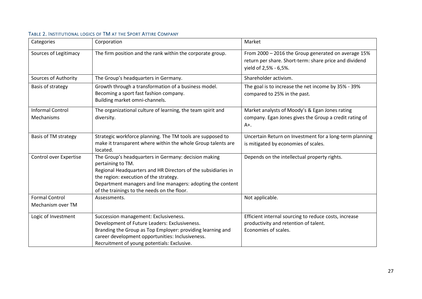<span id="page-27-0"></span>

| Categories                            | Corporation                                                                                                                                                                                                                                                                                        | Market                                                                                                                                 |
|---------------------------------------|----------------------------------------------------------------------------------------------------------------------------------------------------------------------------------------------------------------------------------------------------------------------------------------------------|----------------------------------------------------------------------------------------------------------------------------------------|
| Sources of Legitimacy                 | The firm position and the rank within the corporate group.                                                                                                                                                                                                                                         | From 2000 - 2016 the Group generated on average 15%<br>return per share. Short-term: share price and dividend<br>yield of 2,5% - 6,5%. |
| Sources of Authority                  | The Group's headquarters in Germany.                                                                                                                                                                                                                                                               | Shareholder activism.                                                                                                                  |
| Basis of strategy                     | Growth through a transformation of a business model.<br>Becoming a sport fast fashion company.<br>Building market omni-channels.                                                                                                                                                                   | The goal is to increase the net income by 35% - 39%<br>compared to 25% in the past.                                                    |
| <b>Informal Control</b><br>Mechanisms | The organizational culture of learning, the team spirit and<br>diversity.                                                                                                                                                                                                                          | Market analysts of Moody's & Egan Jones rating<br>company. Egan Jones gives the Group a credit rating of<br>$A+$ .                     |
| Basis of TM strategy                  | Strategic workforce planning. The TM tools are supposed to<br>make it transparent where within the whole Group talents are<br>located.                                                                                                                                                             | Uncertain Return on Investment for a long-term planning<br>is mitigated by economies of scales.                                        |
| Control over Expertise                | The Group's headquarters in Germany: decision making<br>pertaining to TM.<br>Regional Headquarters and HR Directors of the subsidiaries in<br>the region: execution of the strategy.<br>Department managers and line managers: adopting the content<br>of the trainings to the needs on the floor. | Depends on the intellectual property rights.                                                                                           |
| <b>Formal Control</b>                 | Assessments.                                                                                                                                                                                                                                                                                       | Not applicable.                                                                                                                        |
| Mechanism over TM                     |                                                                                                                                                                                                                                                                                                    |                                                                                                                                        |
| Logic of Investment                   | Succession management: Exclusiveness.<br>Development of Future Leaders: Exclusiveness.<br>Branding the Group as Top Employer: providing learning and<br>career development opportunities: Inclusiveness.<br>Recruitment of young potentials: Exclusive.                                            | Efficient internal sourcing to reduce costs, increase<br>productivity and retention of talent.<br>Economies of scales.                 |

#### TABLE 2. INSTITUTIONAL LOGICS OF TM AT THE SPORT ATTIRE COMPANY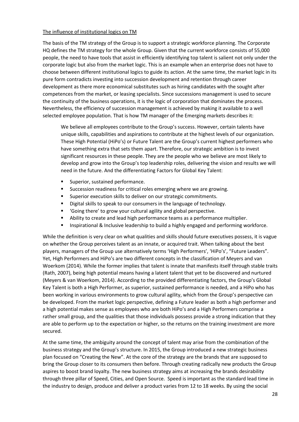#### The influence of institutional logics on TM

The basis of the TM strategy of the Group is to support a strategic workforce planning. The Corporate HQ defines the TM strategy for the whole Group. Given that the current workforce consists of 55,000 people, the need to have tools that assist in efficiently identifying top talent is salient not only under the corporate logic but also from the market logic. This is an example when an enterprise does not have to choose between different institutional logics to guide its action. At the same time, the market logic in its pure form contradicts investing into succession development and retention through career development as there more economical substitutes such as hiring candidates with the sought after competences from the market, or leasing specialists. Since successions management is used to secure the continuity of the business operations, it is the logic of corporation that dominates the process. Nevertheless, the efficiency of succession management is achieved by making it available to a well selected employee population. That is how TM manager of the Emerging markets describes it:

We believe all employees contribute to the Group's success. However, certain talents have unique skills, capabilities and aspirations to contribute at the highest levels of our organization. These High Potential (HiPo's) or Future Talent are the Group's current highest performers who have something extra that sets them apart. Therefore, our strategic ambition is to invest significant resources in these people. They are the people who we believe are most likely to develop and grow into the Group's top leadership roles, delivering the vision and results we will need in the future. And the differentiating Factors for Global Key Talent:

- **Superior, sustained performance.**
- **Succession readiness for critical roles emerging where we are growing.**
- **Superior execution skills to deliver on our strategic commitments.**
- Digital skills to speak to our consumers in the language of technology.
- 'Going there' to grow your cultural agility and global perspective.
- Ability to create and lead high performance teams as a performance multiplier.
- **Inspirational & Inclusive leadership to build a highly engaged and performing workforce.**

While the definition is very clear on what qualities and skills should future executives possess, it is vague on whether the Group perceives talent as an innate, or acquired trait. When talking about the best players, managers of the Group use alternatively terms 'High Performers', 'HiPo's', "Future Leaders". Yet, High Performers and HiPo's are two different concepts in the classification of Meyers and van Woerkom (2014). While the former implies that talent is innate that manifests itself through stable traits (Rath, 2007), being high potential means having a latent talent that yet to be discovered and nurtured (Meyers & van Woerkom, 2014). According to the provided differentiating factors, the Group's Global Key Talent is both a High Performer, as superior, sustained performance is needed, and a HiPo who has been working in various environments to grow cultural agility, which from the Group's perspective can be developed. From the market logic perspective, defining a Future leader as both a high performer and a high potential makes sense as employees who are both HiPo's and a High Performers comprise a rather small group, and the qualities that those individuals possess provide a strong indication that they are able to perform up to the expectation or higher, so the returns on the training investment are more secured.

At the same time, the ambiguity around the concept of talent may arise from the combination of the business strategy and the Group's structure. In 2015, the Group introduced a new strategic business plan focused on "Creating the New". At the core of the strategy are the brands that are supposed to bring the Group closer to its consumers then before. Through creating radically new products the Group aspires to boost brand loyalty. The new business strategy aims at increasing the brands desirability through three pillar of Speed, Cities, and Open Source. Speed is important as the standard lead time in the industry to design, produce and deliver a product varies from 12 to 18 weeks. By using the social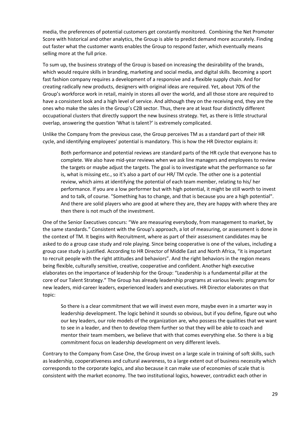media, the preferences of potential customers get constantly monitored. Combining the Net Promoter Score with historical and other analytics, the Group is able to predict demand more accurately. Finding out faster what the customer wants enables the Group to respond faster, which eventually means selling more at the full price.

To sum up, the business strategy of the Group is based on increasing the desirability of the brands, which would require skills in branding, marketing and social media, and digital skills. Becoming a sport fast fashion company requires a development of a responsive and a flexible supply chain. And for creating radically new products, designers with original ideas are required. Yet, about 70% of the Group's workforce work in retail, mainly in stores all over the world, and all those store are required to have a consistent look and a high level of service. And although they on the receiving end, they are the ones who make the sales in the Group's C2B sector. Thus, there are at least four distinctly different occupational clusters that directly support the new business strategy. Yet, as there is little structural overlap, answering the question 'What is talent?' is extremely complicated.

Unlike the Company from the previous case, the Group perceives TM as a standard part of their HR cycle, and identifying employees' potential is mandatory. This is how the HR Director explains it:

Both performance and potential reviews are standard parts of the HR cycle that everyone has to complete. We also have mid-year reviews when we ask line managers and employees to review the targets or maybe adjust the targets. The goal is to investigate what the performance so far is, what is missing etc., so it's also a part of our HR/ TM cycle. The other one is a potential review, which aims at identifying the potential of each team member, relating to his/ her performance. If you are a low performer but with high potential, it might be still worth to invest and to talk, of course. "Something has to change, and that is because you are a high potential". And there are solid players who are good at where they are, they are happy with where they are then there is not much of the investment.

One of the Senior Executives concurs: "We are measuring everybody, from management to market, by the same standards." Consistent with the Group's approach, a lot of measuring, or assessment is done in the context of TM. It begins with Recruitment, where as part of their assessment candidates may be asked to do a group case study and role playing. Since being cooperative is one of the values, including a group case study is justified. According to HR Director of Middle East and North Africa, "it is important to recruit people with the right attitudes and behaviors". And the right behaviors in the region means being flexible, culturally sensitive, creative, cooperative and confident. Another high executive elaborates on the importance of leadership for the Group: "Leadership is a fundamental pillar at the core of our Talent Strategy." The Group has already leadership programs at various levels: programs for new leaders, mid-career leaders, experienced leaders and executives. HR Director elaborates on that topic:

So there is a clear commitment that we will invest even more, maybe even in a smarter way in leadership development. The logic behind it sounds so obvious, but if you define, figure out who our key leaders, our role models of the organization are, who possess the qualities that we want to see in a leader, and then to develop them further so that they will be able to coach and mentor their team members, we believe that with that comes everything else. So there is a big commitment focus on leadership development on very different levels.

Contrary to the Company from Case One, the Group invest on a large scale in training of soft skills, such as leadership, cooperativeness and cultural awareness, to a large extent out of business necessity which corresponds to the corporate logics, and also because it can make use of economies of scale that is consistent with the market economy. The two institutional logics, however, contradict each other in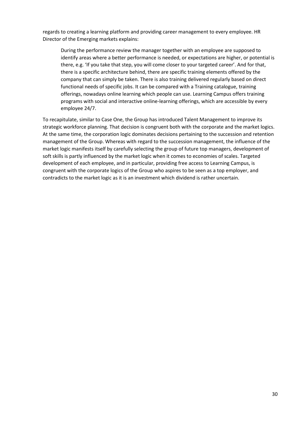regards to creating a learning platform and providing career management to every employee. HR Director of the Emerging markets explains:

During the performance review the manager together with an employee are supposed to identify areas where a better performance is needed, or expectations are higher, or potential is there, e.g. 'If you take that step, you will come closer to your targeted career'. And for that, there is a specific architecture behind, there are specific training elements offered by the company that can simply be taken. There is also training delivered regularly based on direct functional needs of specific jobs. It can be compared with a Training catalogue, training offerings, nowadays online learning which people can use. Learning Campus offers training programs with social and interactive online-learning offerings, which are accessible by every employee 24/7.

To recapitulate, similar to Case One, the Group has introduced Talent Management to improve its strategic workforce planning. That decision is congruent both with the corporate and the market logics. At the same time, the corporation logic dominates decisions pertaining to the succession and retention management of the Group. Whereas with regard to the succession management, the influence of the market logic manifests itself by carefully selecting the group of future top managers, development of soft skills is partly influenced by the market logic when it comes to economies of scales. Targeted development of each employee, and in particular, providing free access to Learning Campus, is congruent with the corporate logics of the Group who aspires to be seen as a top employer, and contradicts to the market logic as it is an investment which dividend is rather uncertain.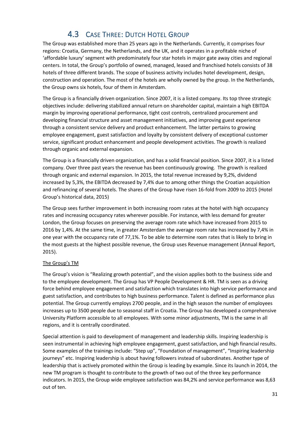# 4.3 CASE THREE: DUTCH HOTEL GROUP

<span id="page-31-0"></span>The Group was established more than 25 years ago in the Netherlands. Currently, it comprises four regions: Croatia, Germany, the Netherlands, and the UK, and it operates in a profitable niche of 'affordable luxury' segment with predominately four star hotels in major gate away cities and regional centers. In total, the Group's portfolio of owned, managed, leased and franchised hotels consists of 38 hotels of three different brands. The scope of business activity includes hotel development, design, construction and operation. The most of the hotels are wholly owned by the group. In the Netherlands, the Group owns six hotels, four of them in Amsterdam.

The Group is a financially driven organization. Since 2007, it is a listed company. Its top three strategic objectives include: delivering stabilized annual return on shareholder capital, maintain a high EBITDA margin by improving operational performance, tight cost controls, centralized procurement and developing financial structure and asset management initiatives, and improving guest experience through a consistent service delivery and product enhancement. The latter pertains to growing employee engagement, guest satisfaction and loyalty by consistent delivery of exceptional customer service, significant product enhancement and people development activities. The growth is realized through organic and external expansion.

The Group is a financially driven organization, and has a solid financial position. Since 2007, it is a listed company. Over three past years the revenue has been continuously growing. The growth is realized through organic and external expansion. In 2015, the total revenue increased by 9,2%, dividend increased by 5,3%, the EBITDA decreased by 7,4% due to among other things the Croatian acquisition and refinancing of several hotels. The shares of the Group have risen 16-fold from 2009 to 2015 (Hotel Group's historical data, 2015)

The Group sees further improvement in both increasing room rates at the hotel with high occupancy rates and increasing occupancy rates wherever possible. For instance, with less demand for greater London, the Group focuses on preserving the average room rate which have increased from 2015 to 2016 by 1,4%. At the same time, in greater Amsterdam the average room rate has increased by 7,4% in one year with the occupancy rate of 77,1%. To be able to determine room rates that is likely to bring in the most guests at the highest possible revenue, the Group uses Revenue management (Annual Report, 2015).

#### The Group's TM

The Group's vision is "Realizing growth potential", and the vision applies both to the business side and to the employee development. The Group has VP People Development & HR. TM is seen as a driving force behind employee engagement and satisfaction which translates into high service performance and guest satisfaction, and contributes to high business performance. Talent is defined as performance plus potential. The Group currently employs 2700 people, and in the high season the number of employees increases up to 3500 people due to seasonal staff in Croatia. The Group has developed a comprehensive University Platform accessible to all employees. With some minor adjustments, TM is the same in all regions, and it is centrally coordinated.

Special attention is paid to development of management and leadership skills. Inspiring leadership is seen instrumental in achieving high employee engagement, guest satisfaction, and high financial results. Some examples of the trainings include: "Step up", "Foundation of management", "Inspiring leadership journeys" etc. Inspiring leadership is about having followers instead of subordinates. Another type of leadership that is actively promoted within the Group is leading by example. Since its launch in 2014, the new TM program is thought to contribute to the growth of two out of the three key performance indicators. In 2015, the Group wide employee satisfaction was 84,2% and service performance was 8,63 out of ten.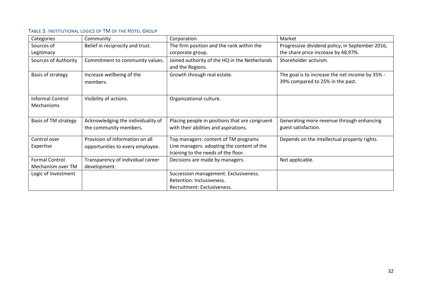#### TABLE 3. INSTITUTIONAL LOGICS OF TM OF THE HOTEL GROUP

<span id="page-32-0"></span>

| Categories                                   | Community                                                    | Corporation                                                                             | Market                                                                              |
|----------------------------------------------|--------------------------------------------------------------|-----------------------------------------------------------------------------------------|-------------------------------------------------------------------------------------|
| Sources of                                   | Belief in reciprocity and trust.                             | The firm position and the rank within the                                               | Progressive dividend policy; in September 2016,                                     |
| Legitimacy                                   |                                                              | corporate group.                                                                        | the share price increase by 48,97%.                                                 |
| Sources of Authority                         | Commitment to community values.                              | Joined authority of the HQ in the Netherlands<br>and the Regions.                       | Shareholder activism.                                                               |
| Basis of strategy                            | Increase wellbeing of the<br>members.                        | Growth through real estate.                                                             | The goal is to increase the net income by 35% -<br>39% compared to 25% in the past. |
| <b>Informal Control</b><br><b>Mechanisms</b> | Visibility of actions.                                       | Organizational culture.                                                                 |                                                                                     |
| <b>Basis of TM strategy</b>                  | Acknowledging the individuality of<br>the community members. | Placing people in positions that are congruent<br>with their abilities and aspirations. | Generating more revenue through enhancing<br>guest satisfaction.                    |
| Control over                                 | Provision of information on all                              | Top managers: content of TM programs                                                    | Depends on the intellectual property rights.                                        |
| Expertise                                    | opportunities to every employee.                             | Line managers: adopting the content of the<br>training to the needs of the floor.       |                                                                                     |
| <b>Formal Control</b>                        | Transparency of individual career                            | Decisions are made by managers.                                                         | Not applicable.                                                                     |
| Mechanism over TM                            | development.                                                 |                                                                                         |                                                                                     |
| Logic of Investment                          |                                                              | Succession management: Exclusiveness.                                                   |                                                                                     |
|                                              |                                                              | Retention: Inclusiveness.                                                               |                                                                                     |
|                                              |                                                              | Recruitment: Exclusiveness.                                                             |                                                                                     |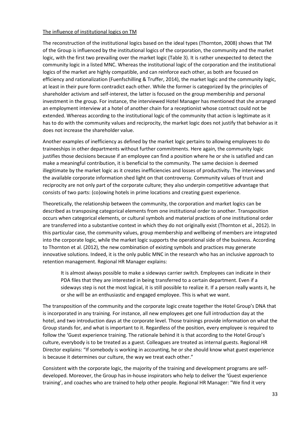#### The influence of institutional logics on TM

The reconstruction of the institutional logics based on the ideal types (Thornton, 2008) shows that TM of the Group is influenced by the institutional logics of the corporation, the community and the market logic, with the first two prevailing over the market logic (Table 3). It is rather unexpected to detect the community logic in a listed MNC. Whereas the institutional logic of the corporation and the institutional logics of the market are highly compatible, and can reinforce each other, as both are focused on efficiency and rationalization (Fuenfschilling & Truffer, 2014), the market logic and the community logic, at least in their pure form contradict each other. While the former is categorized by the principles of shareholder activism and self-interest, the latter is focused on the group membership and personal investment in the group. For instance, the interviewed Hotel Manager has mentioned that she arranged an employment interview at a hotel of another chain for a receptionist whose contract could not be extended. Whereas according to the institutional logic of the community that action is legitimate as it has to do with the community values and reciprocity, the market logic does not justify that behavior as it does not increase the shareholder value.

Another examples of inefficiency as defined by the market logic pertains to allowing employees to do traineeships in other departments without further commitments. Here again, the community logic justifies those decisions because if an employee can find a position where he or she is satisfied and can make a meaningful contribution, it is beneficial to the community. The same decision is deemed illegitimate by the market logic as it creates inefficiencies and losses of productivity. The interviews and the available corporate information shed light on that controversy. Community values of trust and reciprocity are not only part of the corporate culture; they also underpin competitive advantage that consists of two parts: (co)owing hotels in prime locations and creating guest experience.

Theoretically, the relationship between the community, the corporation and market logics can be described as transposing categorical elements from one institutional order to another. Transposition occurs when categorical elements, or cultural symbols and material practices of one institutional order are transferred into a substantive context in which they do not originally exist (Thornton et al., 2012). In this particular case, the community values, group membership and wellbeing of members are integrated into the corporate logic, while the market logic supports the operational side of the business. According to Thornton et al. (2012), the new combination of existing symbols and practices may generate innovative solutions. Indeed, it is the only public MNC in the research who has an inclusive approach to retention management. Regional HR Manager explains:

It is almost always possible to make a sideways carrier switch. Employees can indicate in their PDA files that they are interested in being transferred to a certain department. Even if a sideways step is not the most logical, it is still possible to realize it. If a person really wants it, he or she will be an enthusiastic and engaged employee. This is what we want.

The transposition of the community and the corporate logic create together the Hotel Group's DNA that is incorporated in any training. For instance, all new employees get one full introduction day at the hotel, and two introduction days at the corporate level. Those trainings provide information on what the Group stands for, and what is important to it. Regardless of the position, every employee is required to follow the 'Guest experience training. The rationale behind it is that according to the Hotel Group's culture, everybody is to be treated as a guest. Colleagues are treated as internal guests. Regional HR Director explains: "If somebody is working in accounting, he or she should know what guest experience is because it determines our culture, the way we treat each other."

Consistent with the corporate logic, the majority of the training and development programs are selfdeveloped. Moreover, the Group has in-house inspirators who help to deliver the 'Guest experience training', and coaches who are trained to help other people. Regional HR Manager: "We find it very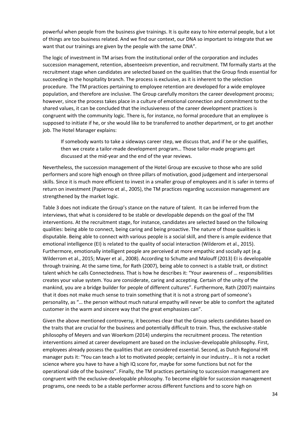powerful when people from the business give trainings. It is quite easy to hire external people, but a lot of things are too business related. And we find our context, our DNA so important to integrate that we want that our trainings are given by the people with the same DNA".

The logic of investment in TM arises from the institutional order of the corporation and includes succession management, retention, absenteeism prevention, and recruitment. TM formally starts at the recruitment stage when candidates are selected based on the qualities that the Group finds essential for succeeding in the hospitality branch. The process is exclusive, as it is inherent to the selection procedure. The TM practices pertaining to employee retention are developed for a wide employee population, and therefore are inclusive. The Group carefully monitors the career development process; however, since the process takes place in a culture of emotional connection and commitment to the shared values, it can be concluded that the inclusiveness of the career development practices is congruent with the community logic. There is, for instance, no formal procedure that an employee is supposed to initiate if he, or she would like to be transferred to another department, or to get another job. The Hotel Manager explains:

If somebody wants to take a sideways career step, we discuss that, and if he or she qualifies, then we create a tailor-made development program… Those tailor-made programs get discussed at the mid-year and the end of the year reviews.

Nevertheless, the succession management of the Hotel Group are excusive to those who are solid performers and score high enough on three pillars of motivation, good judgement and interpersonal skills. Since it is much more efficient to invest in a smaller group of employees and it is safer in terms of return on investment (Papierno et al., 2005), the TM practices regarding succession management are strengthened by the market logic.

Table 3 does not indicate the Group's stance on the nature of talent. It can be inferred from the interviews, that what is considered to be stable or developable depends on the goal of the TM interventions. At the recruitment stage, for instance, candidates are selected based on the following qualities: being able to connect, being caring and being proactive. The nature of those qualities is disputable. Being able to connect with various people is a social skill, and there is ample evidence that emotional intelligence (EI) is related to the quality of social interaction (Wilderom et al., 2015). Furthermore, emotionally intelligent people are perceived at more empathic and socially apt (e.g. Wilderrom et al., 2015; Mayer et al., 2008). According to Schutte and Malouff (2013) EI is developable through training. At the same time, for Rath (2007), being able to connect is a stable trait, or distinct talent which he calls Connectedness. That is how he describes it: "Your awareness of … responsibilities creates your value system. You are considerate, caring and accepting. Certain of the unity of the mankind, you are a bridge builder for people of different cultures". Furthermore, Rath (2007) maintains that it does not make much sense to train something that it is not a strong part of someone's personality, as "… the person without much natural empathy will never be able to comfort the agitated customer in the warm and sincere way that the great emphasizes can".

Given the above mentioned controversy, it becomes clear that the Group selects candidates based on the traits that are crucial for the business and potentially difficult to train. Thus, the exclusive-stable philosophy of Meyers and van Woerkom (2014) underpins the recruitment process. The retention interventions aimed at career development are based on the inclusive-developable philosophy. First, employees already possess the qualities that are considered essential. Second, as Dutch Regional HR manager puts it: "You can teach a lot to motivated people; certainly in our industry… it is not a rocket science where you have to have a high IQ score for, maybe for some functions but not for the operational side of the business". Finally, the TM practices pertaining to succession management are congruent with the exclusive-developable philosophy. To become eligible for succession management programs, one needs to be a stable performer across different functions and to score high on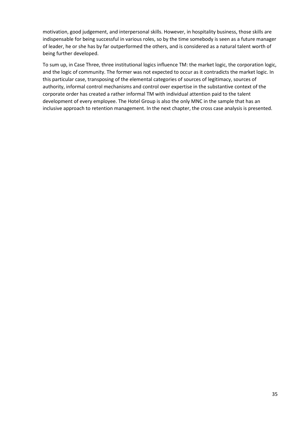motivation, good judgement, and interpersonal skills. However, in hospitality business, those skills are indispensable for being successful in various roles, so by the time somebody is seen as a future manager of leader, he or she has by far outperformed the others, and is considered as a natural talent worth of being further developed.

To sum up, in Case Three, three institutional logics influence TM: the market logic, the corporation logic, and the logic of community. The former was not expected to occur as it contradicts the market logic. In this particular case, transposing of the elemental categories of sources of legitimacy, sources of authority, informal control mechanisms and control over expertise in the substantive context of the corporate order has created a rather informal TM with individual attention paid to the talent development of every employee. The Hotel Group is also the only MNC in the sample that has an inclusive approach to retention management. In the next chapter, the cross case analysis is presented.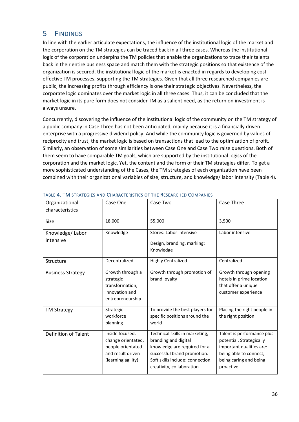## <span id="page-36-0"></span>5 FINDINGS

In line with the earlier articulate expectations, the influence of the institutional logic of the market and the corporation on the TM strategies can be traced back in all three cases. Whereas the institutional logic of the corporation underpins the TM policies that enable the organizations to trace their talents back in their entire business space and match them with the strategic positions so that existence of the organization is secured, the institutional logic of the market is enacted in regards to developing costeffective TM processes, supporting the TM strategies. Given that all three researched companies are public, the increasing profits through efficiency is one their strategic objectives. Nevertheless, the corporate logic dominates over the market logic in all three cases. Thus, it can be concluded that the market logic in its pure form does not consider TM as a salient need, as the return on investment is always unsure.

Concurrently, discovering the influence of the institutional logic of the community on the TM strategy of a public company in Case Three has not been anticipated, mainly because it is a financially driven enterprise with a progressive dividend policy. And while the community logic is governed by values of reciprocity and trust, the market logic is based on transactions that lead to the optimization of profit. Similarly, an observation of some similarities between Case One and Case Two raise questions. Both of them seem to have comparable TM goals, which are supported by the institutional logics of the corporation and the market logic. Yet, the content and the form of their TM strategies differ. To get a more sophisticated understanding of the Cases, the TM strategies of each organization have been combined with their organizational variables of size, structure, and knowledge/ labor intensity (Table 4).

| Organizational<br>characteristics | Case One                                                                                              | Case Two                                                                                                                                                                               | Case Three                                                                                                                                          |
|-----------------------------------|-------------------------------------------------------------------------------------------------------|----------------------------------------------------------------------------------------------------------------------------------------------------------------------------------------|-----------------------------------------------------------------------------------------------------------------------------------------------------|
| <b>Size</b>                       | 18,000                                                                                                | 55,000                                                                                                                                                                                 | 3,500                                                                                                                                               |
| Knowledge/Labor<br>intensive      | Knowledge                                                                                             | Stores: Labor intensive<br>Design, branding, marking:<br>Knowledge                                                                                                                     | Labor intensive                                                                                                                                     |
| Structure                         | Decentralized                                                                                         | <b>Highly Centralized</b>                                                                                                                                                              | Centralized                                                                                                                                         |
| <b>Business Strategy</b>          | Growth through a<br>strategic<br>transformation,<br>innovation and<br>entrepreneurship                | Growth through promotion of<br>brand loyalty                                                                                                                                           | Growth through opening<br>hotels in prime location<br>that offer a unique<br>customer experience                                                    |
| <b>TM Strategy</b>                | Strategic<br>workforce<br>planning                                                                    | To provide the best players for<br>specific positions around the<br>world                                                                                                              | Placing the right people in<br>the right position                                                                                                   |
| <b>Definition of Talent</b>       | Inside focused,<br>change orientated,<br>people orientated<br>and result driven<br>(learning agility) | Technical skills in marketing,<br>branding and digital<br>knowledge are required for a<br>successful brand promotion.<br>Soft skills include: connection,<br>creativity, collaboration | Talent is performance plus<br>potential. Strategically<br>important qualities are:<br>being able to connect,<br>being caring and being<br>proactive |

#### <span id="page-36-1"></span>TABLE 4. TM STRATEGIES AND CHARACTERISTICS OF THE RESEARCHED COMPANIES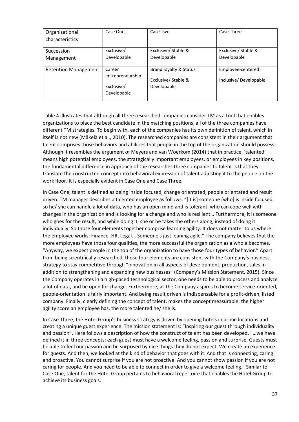| Organizational<br>characteristics | Case One                                                | Case Two                                                    | Case Three                                 |
|-----------------------------------|---------------------------------------------------------|-------------------------------------------------------------|--------------------------------------------|
| Succession<br>Management          | Exclusive/<br>Developable                               | Exclusive/ Stable &<br>Developable                          | Exclusive/ Stable &<br>Developable         |
| <b>Retention Management</b>       | Career<br>entrepreneurship<br>Exclusive/<br>Developable | Brand loyalty & Status<br>Exclusive/Stable &<br>Developable | Employee-centered<br>Inclusive/Developable |

Table 4 illustrates that although all three researched companies consider TM as a tool that enables organizations to place the best candidate in the matching positions, all of the three companies have different TM strategies. To begin with, each of the companies has its own definition of talent, which in itself is not new (Mӓkelӓ et al., 2010). The researched companies are consistent in their argument that talent comprises those behaviors and abilities that people in the top of the organization should possess. Although it resembles the argument of Meyers and van Woerkom (2014) that in practice, 'talented' means high potential employees, the strategically important employees, or employees in key positions, the fundamental difference in approach of the researches three companies to talent is that they translate the constructed concept into behavioral expression of talent adjusting it to the people on the work floor. It is especially evident in Case One and Case Three.

In Case One, talent is defined as being inside focused, change orientated, people orientated and result driven. TM manager describes a talented employee as follows: "[It is] someone [who] is inside focused, so he/ she can handle a lot of data, who has an open mind and is tolerant, who can cope well with changes in the organization and is looking for a change and who is resilient… Furthermore, it is someone who goes for the result, and while doing it, she or he takes the others along, instead of doing it individually. So those four elements together comprise learning agility. It does not matter to us where the employee works: Finance, HR, Legal... Someone's just leaning agile." The company believes that the more employees have those four qualities, the more successful the organization as a whole becomes. "Anyway, we expect people in the top of the organization to have those four types of behavior." Apart from being scientifically researched, those four elements are consistent with the Company's business strategy to stay competitive through "innovation in all aspects of development, production, sales in addition to strengthening and expanding new businesses" (Company's Mission Statement, 2015). Since the Company operates in a high-paced technological sector, one needs to be able to process and analyze a lot of data, and be open for change. Furthermore, as the Company aspires to become service-oriented, people-orientation is fairly important. And being result driven is indispensable for a profit-driven, listed company. Finally, clearly defining the concept of talent, makes the concept measurable: the higher agility score an employee has, the more talented he/ she is.

In Case Three, the Hotel Group's business strategy is driven by opening hotels in prime locations and creating a unique guest experience. The mission statement is: "Inspiring our guest through individuality and passion". Here follows a description of how the construct of talent has been developed. "…we have defined it in three concepts: each guest must have a welcome feeling, passion and surprise. Guests must be able to feel our passion and be surprised by nice things they do not expect. We create an experience for guests. And then, we looked at the kind of behavior that goes with it. And that is connecting, caring and proactive. You cannot surprise if you are not proactive. And you cannot show passion if you are not caring for people. And you need to be able to connect in order to give a welcome feeling." Similar to Case One, talent for the Hotel Group pertains to behavioral repertoire that enables the Hotel Group to achieve its business goals.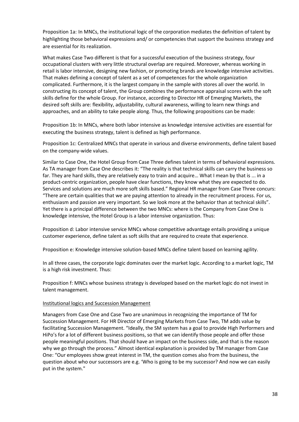Proposition 1a: In MNCs, the institutional logic of the corporation mediates the definition of talent by highlighting those behavioral expressions and/ or competencies that support the business strategy and are essential for its realization.

What makes Case Two different is that for a successful execution of the business strategy, four occupational clusters with very little structural overlap are required. Moreover, whereas working in retail is labor intensive, designing new fashion, or promoting brands are knowledge intensive activities. That makes defining a concept of talent as a set of competences for the whole organization complicated. Furthermore, it is the largest company in the sample with stores all over the world. In constructing its concept of talent, the Group combines the performance appraisal scores with the soft skills define for the whole Group. For instance, according to Director HR of Emerging Markets, the desired soft skills are: flexibility, adjustability, cultural awareness, willing to learn new things and approaches, and an ability to take people along. Thus, the following propositions can be made:

Proposition 1b: In MNCs, where both labor intensive as knowledge intensive activities are essential for executing the business strategy, talent is defined as high performance.

Proposition 1c: Centralized MNCs that operate in various and diverse environments, define talent based on the company-wide values.

Similar to Case One, the Hotel Group from Case Three defines talent in terms of behavioral expressions. As TA manager from Case One describes it: "The reality is that technical skills can carry the business so far. They are hard skills, they are relatively easy to train and acquire… What I mean by that is ... in a product-centric organization, people have clear functions, they know what they are expected to do. Services and solutions are much more soft skills based." Regional HR manager from Case Three concurs: "There are certain qualities that we are paying attention to already in the recruitment process. For us, enthusiasm and passion are very important. So we look more at the behavior than at technical skills". Yet there is a principal difference between the two MNCs: where is the Company from Case One is knowledge intensive, the Hotel Group is a labor intensive organization. Thus:

Proposition d: Labor intensive service MNCs whose competitive advantage entails providing a unique customer experience, define talent as soft skills that are required to create that experience.

Proposition e: Knowledge intensive solution-based MNCs define talent based on learning agility.

In all three cases, the corporate logic dominates over the market logic. According to a market logic, TM is a high risk investment. Thus:

Proposition f: MNCs whose business strategy is developed based on the market logic do not invest in talent management.

#### Institutional logics and Succession Management

Managers from Case One and Case Two are unanimous in recognizing the importance of TM for Succession Management. For HR Director of Emerging Markets from Case Two, TM adds value by facilitating Succession Management. "Ideally, the SM system has a goal to provide High Performers and HiPo's for a lot of different business positions, so that we can identify those people and offer those people meaningful positions. That should have an impact on the business side, and that is the reason why we go through the process." Almost identical explanation is provided by TM manager from Case One: "Our employees show great interest in TM, the question comes also from the business, the question about who our successors are e.g. 'Who is going to be my successor? And now we can easily put in the system."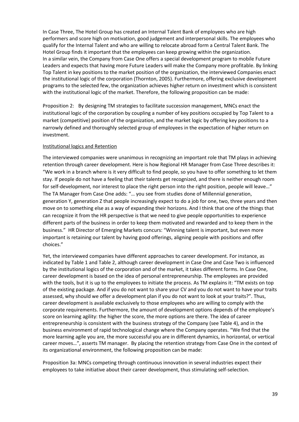In Case Three, The Hotel Group has created an Internal Talent Bank of employees who are high performers and score high on motivation, good judgement and interpersonal skills. The employees who qualify for the Internal Talent and who are willing to relocate abroad form a Central Talent Bank. The Hotel Group finds it important that the employees can keep growing within the organization. In a similar vein, the Company from Case One offers a special development program to mobile Future Leaders and expects that having more Future Leaders will make the Company more profitable. By linking Top Talent in key positions to the market position of the organization, the interviewed Companies enact the institutional logic of the corporation (Thornton, 2005). Furthermore, offering exclusive development programs to the selected few, the organization achieves higher return on investment which is consistent with the institutional logic of the market. Therefore, the following proposition can be made:

Proposition 2: By designing TM strategies to facilitate succession management, MNCs enact the institutional logic of the corporation by coupling a number of key positions occupied by Top Talent to a market (competitive) position of the organization, and the market logic by offering key positions to a narrowly defined and thoroughly selected group of employees in the expectation of higher return on investment.

#### Institutional logics and Retention

The interviewed companies were unanimous in recognizing an important role that TM plays in achieving retention through career development. Here is how Regional HR Manager from Case Three describes it: "We work in a branch where is it very difficult to find people, so you have to offer something to let them stay. If people do not have a feeling that their talents get recognized, and there is neither enough room for self-development, nor interest to place the right person into the right position, people will leave…" The TA Manager from Case One adds: "… you see from studies done of Millennial generation, generation Y, generation Z that people increasingly expect to do a job for one, two, three years and then move on to something else as a way of expanding their horizons. And I think that one of the things that can recognize it from the HR perspective is that we need to give people opportunities to experience different parts of the business in order to keep them motivated and rewarded and to keep them in the business." HR Director of Emerging Markets concurs: "Winning talent is important, but even more important is retaining our talent by having good offerings, aligning people with positions and offer choices."

Yet, the interviewed companies have different approaches to career development. For instance, as indicated by Table 1 and Table 2, although career development in Case One and Case Two is influenced by the institutional logics of the corporation and of the market, it takes different forms. In Case One, career development is based on the idea of personal entrepreneurship. The employees are provided with the tools, but it is up to the employees to initiate the process. As TM explains it: "TM exists on top of the existing package. And if you do not want to share your CV and you do not want to have your traits assessed, why should we offer a development plan if you do not want to look at your traits?". Thus, career development is available exclusively to those employees who are willing to comply with the corporate requirements. Furthermore, the amount of development options depends of the employee's score on learning agility: the higher the score, the more options are there. The idea of career entrepreneurship is consistent with the business strategy of the Company (see Table 4), and in the business environment of rapid technological change where the Company operates. "We find that the more learning agile you are, the more successful you are in different dynamics, in horizontal, or vertical career moves…", asserts TM manager. By placing the retention strategy from Case One in the context of its organizational environment, the following proposition can be made:

Proposition 3a: MNCs competing through continuous innovation in several industries expect their employees to take initiative about their career development, thus stimulating self-selection.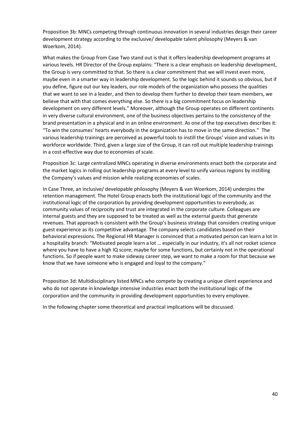Proposition 3b: MNCs competing through continuous innovation in several industries design their career development strategy according to the exclusive/ developable talent philosophy (Meyers & van Woerkom, 2014).

What makes the Group from Case Two stand out is that it offers leadership development programs at various levels. HR Director of the Group explains: "There is a clear emphasis on leadership development, the Group is very committed to that. So there is a clear commitment that we will invest even more, maybe even in a smarter way in leadership development. So the logic behind it sounds so obvious, but if you define, figure out our key leaders, our role models of the organization who possess the qualities that we want to see in a leader, and then to develop them further to develop their team members, we believe that with that comes everything else. So there is a big commitment focus on leadership development on very different levels." Moreover, although the Group operates on different continents in very diverse cultural environment, one of the business objectives pertains to the consistency of the brand presentation in a physical and in an online environment. As one of the top executives describes it: "To win the consumes' hearts everybody in the organization has to move in the same direction." The various leadership trainings are perceived as powerful tools to instill the Groups' vision and values in its workforce worldwide. Third, given a large size of the Group, it can roll out multiple leadership trainings in a cost-effective way due to economies of scale.

Proposition 3c: Large centralized MNCs operating in diverse environments enact both the corporate and the market logics in rolling out leadership programs at every level to unify various regions by instilling the Company's values and mission while realizing economies of scales.

In Case Three, an inclusive/ developable philosophy (Meyers & van Woerkom, 2014) underpins the retention management. The Hotel Group enacts both the institutional logic of the community and the institutional logic of the corporation by providing development opportunities to everybody, as community values of reciprocity and trust are integrated in the corporate culture. Colleagues are internal guests and they are supposed to be treated as well as the external guests that generate revenues. That approach is consistent with the Group's business strategy that considers creating unique guest experience as its competitive advantage. The company selects candidates based on their behavioral expressions. The Regional HR Manager is convinced that a motivated person can learn a lot in a hospitality branch: "Motivated people learn a lot … especially in our industry, it's all not rocket science where you have to have a high IQ score; maybe for some functions, but certainly not in the operational functions. So if people want to make sideway career step, we want to make a room for that because we know that we have someone who is engaged and loyal to the company."

Proposition 3d: Multidisciplinary listed MNCs who compete by creating a unique client experience and who do not operate in knowledge intensive industries enact both the institutional logic of the corporation and the community in providing development opportunities to every employee.

In the following chapter some theoretical and practical implications will be discussed.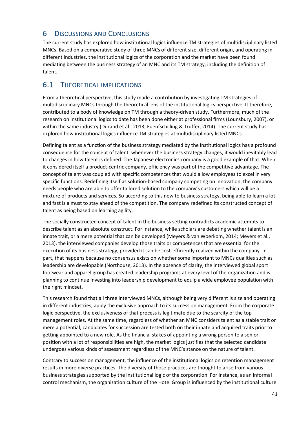# <span id="page-41-0"></span>6 DISCUSSIONS AND CONCLUSIONS

The current study has explored how institutional logics influence TM strategies of multidisciplinary listed MNCs. Based on a comparative study of three MNCs of different size, different origin, and operating in different industries, the institutional logics of the corporation and the market have been found mediating between the business strategy of an MNC and its TM strategy, including the definition of talent.

### 6.1 THEORETICAL IMPLICATIONS

From a theoretical perspective, this study made a contribution by investigating TM strategies of multidisciplinary MNCs through the theoretical lens of the institutional logics perspective. It therefore, contributed to a body of knowledge on TM through a theory-driven study. Furthermore, much of the research on institutional logics to date has been done either at professional firms (Lounsbury, 2007), or within the same industry (Durand et al., 2013; Fuenfschilling & Truffer, 2014). The current study has explored how institutional logics influence TM strategies at multidisciplinary listed MNCs.

Defining talent as a function of the business strategy mediated by the institutional logics has a profound consequence for the concept of talent: whenever the business strategy changes, it would inevitably lead to changes in how talent is defined. The Japanese electronics company is a good example of that. When it considered itself a product-centric company, efficiency was part of the competitive advantage. The concept of talent was coupled with specific competences that would allow employees to excel in very specific functions. Redefining itself as solution-based company competing on innovation, the company needs people who are able to offer tailored solution to the company's customers which will be a mixture of products and services. So according to this new to business strategy, being able to learn a lot and fast is a must to stay ahead of the competition. The company redefined its constructed concept of talent as being based on learning agility.

The socially constructed concept of talent in the business setting contradicts academic attempts to describe talent as an absolute construct. For instance, while scholars are debating whether talent is an innate trait, or a mere potential that can be developed (Meyers & van Woerkom, 2014; Meyers et al., 2013), the interviewed companies develop those traits or competences that are essential for the execution of its business strategy, provided it can be cost-efficiently realized within the company. In part, that happens because no consensus exists on whether some important to MNCs qualities such as leadership are developable (Northouse, 2013). In the absence of clarity, the interviewed global sport footwear and apparel group has created leadership programs at every level of the organization and is planning to continue investing into leadership development to equip a wide employee population with the right mindset.

This research found that all three interviewed MNCs, although being very different is size and operating in different industries, apply the exclusive approach to its succession management. From the corporate logic perspective, the exclusiveness of that process is legitimate due to the scarcity of the top management roles. At the same time, regardless of whether an MNC considers talent as a stable trait or mere a potential, candidates for succession are tested both on their innate and acquired traits prior to getting appointed to a new role. As the financial stakes of appointing a wrong person to a senior position with a lot of responsibilities are high, the market logics justifies that the selected candidate undergoes various kinds of assessment regardless of the MNC's stance on the nature of talent.

Contrary to succession management, the influence of the institutional logics on retention management results in more diverse practices. The diversity of those practices are thought to arise from various business strategies supported by the institutional logic of the corporation. For instance, as an informal control mechanism, the organization culture of the Hotel Group is influenced by the institutional culture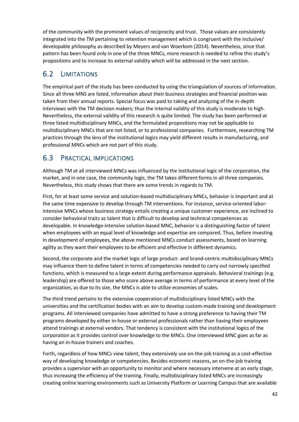of the community with the prominent values of reciprocity and trust. Those values are consistently integrated into the TM pertaining to retention management which is congruent with the inclusive/ developable philosophy as described by Meyers and van Woerkom (2014). Nevertheless, since that pattern has been found only in one of the three MNCs, more research is needed to refine this study's propositions and to increase its external validity which will be addressed in the next section.

## 6.2 LIMITATIONS

The empirical part of the study has been conducted by using the triangulation of sources of information. Since all three MNS are listed, information about their business strategies and financial position was taken from their annual reports. Special focus was paid to taking and analyzing of the in-depth interviews with the TM decision makers; thus the internal validity of this study is moderate to high. Nevertheless, the external validity of this research is quite limited. The study has been performed at three listed multidisciplinary MNCs, and the formulated propositions may not be applicable to multidisciplinary MNCs that are not listed, or to professional companies. Furthermore, researching TM practices through the lens of the institutional logics may yield different results in manufacturing, and professional MNCs which are not part of this study.

### 6.3 PRACTICAL IMPLICATIONS

Although TM at all interviewed MNCs was influenced by the institutional logic of the corporation, the market, and in one case, the community logic, the TM takes different forms in all three companies. Nevertheless, this study shows that there are some trends in regards to TM.

First, for at least some service and solution-based multidisciplinary MNCs, behavior is important and at the same time expensive to develop through TM interventions. For instance, service-oriented laborintensive MNCs whose business strategy entails creating a unique customer experience, are inclined to consider behavioral traits as talent that is difficult to develop and technical competences as developable. In knowledge-intensive solution-based MNC, behavior is a distinguishing factor of talent when employees with an equal level of knowledge and expertise are compared. Thus, before investing in development of employees, the above mentioned MNCs conduct assessments, based on learning agility as they want their employees to be efficient and effective in different dynamics.

Second, the corporate and the market logic of large product- and brand-centric multidisciplinary MNCs may influence them to define talent in terms of competencies needed to carry out narrowly specified functions, which is measured to a large extent during performance appraisals. Behavioral trainings (e.g. leadership) are offered to those who score above average in terms of performance at every level of the organization, as due to its size, the MNCs is able to utilize economies of scales.

The third trend pertains to the extensive cooperation of multidisciplinary listed MNCs with the universities and the certification bodies with an aim to develop custom-made training and development programs. All interviewed companies have admitted to have a strong preference to having their TM programs developed by either in-house or external professionals rather than having their employees attend trainings at external vendors. That tendency is consistent with the institutional logics of the corporation as it provides control over knowledge to the MNCs. One interviewed MNC goes as far as having an in-house trainers and coaches.

Forth, regardless of how MNCs view talent, they extensively use on-the-job training as a cost-effective way of developing knowledge or competencies. Besides economic reasons, an on-the-job training provides a supervisor with an opportunity to monitor and where necessary intervene at an early stage, thus increasing the efficiency of the training. Finally, multidisciplinary listed MNCs are increasingly creating online learning environments such as University Platform or Learning Campus that are available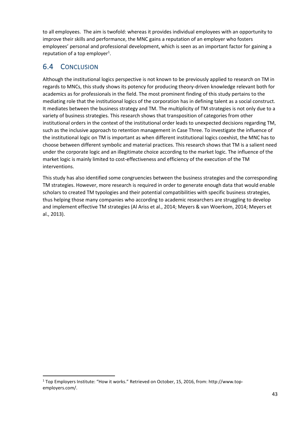to all employees. The aim is twofold: whereas it provides individual employees with an opportunity to improve their skills and performance, the MNC gains a reputation of an employer who fosters employees' personal and professional development, which is seen as an important factor for gaining a reputation of a top employer<sup>1</sup>.

# 6.4 CONCLUSION

1

Although the institutional logics perspective is not known to be previously applied to research on TM in regards to MNCs, this study shows its potency for producing theory-driven knowledge relevant both for academics as for professionals in the field. The most prominent finding of this study pertains to the mediating role that the institutional logics of the corporation has in defining talent as a social construct. It mediates between the business strategy and TM. The multiplicity of TM strategies is not only due to a variety of business strategies. This research shows that transposition of categories from other institutional orders in the context of the institutional order leads to unexpected decisions regarding TM, such as the inclusive approach to retention management in Case Three. To investigate the influence of the institutional logic on TM is important as when different institutional logics coexhist, the MNC has to choose between different symbolic and material practices. This research shows that TM is a salient need under the corporate logic and an illegitimate choice according to the market logic. The influence of the market logic is mainly limited to cost-effectiveness and efficiency of the execution of the TM interventions.

This study has also identified some congruencies between the business strategies and the corresponding TM strategies. However, more research is required in order to generate enough data that would enable scholars to created TM typologies and their potential compatibilities with specific business strategies, thus helping those many companies who according to academic researchers are struggling to develop and implement effective TM strategies (Al Ariss et al., 2014; Meyers & van Woerkom, 2014; Meyers et al., 2013).

<sup>&</sup>lt;sup>1</sup> Top Employers Institute: "How it works." Retrieved on October, 15, 2016, from: http://www.topemployers.com/.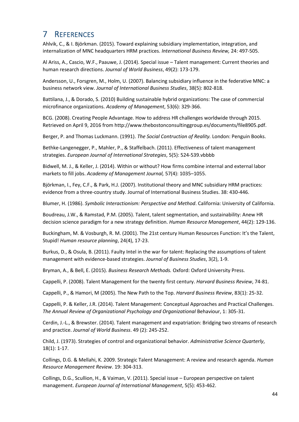# <span id="page-44-0"></span>7 REFERENCES

Ahlvik, C., & I. Björkman. (2015). Toward explaining subsidiary implementation, integration, and internalization of MNC headquarters HRM practices. *International Business Review,* 24: 497-505.

Al Ariss, A., Cascio, W.F., Paauwe, J. (2014). Special issue – Talent management: Current theories and human research directions. *Journal of World Business*, 49(2): 173-179.

Andersson, U., Forsgren, M., Holm, U. (2007). Balancing subsidiary influence in the federative MNC: a business network view. *Journal of International Business Studies*, 38(5): 802-818.

Battilana, J., & Dorado, S. (2010) Building sustainable hybrid organizations: The case of commercial microfinance organizations. *Academy of Management*, 53(6): 329-366.

BCG. (2008). Creating People Advantage. How to address HR challenges worldwide through 2015. Retrieved on April 9, 2016 from http://www.thebostonconsultinggroup.es/documents/file8905.pdf.

Berger, P. and Thomas Luckmann. (1991). *The Social Contruction of Reality.* London: Penguin Books.

Bethke-Langenegger, P., Mahler, P., & Staffelbach. (2011). Effectiveness of talent management strategies. *European Journal of International Strategies*, 5(5): 524-539.vbbbb

Bidwell, M. J., & Keller, J. (2014). Within or without? How firms combine internal and external labor markets to fill jobs. *Academy of Management Journal,* 57(4): 1035–1055.

Björkman, I., Fey, C.F., & Park, H.J. (2007). Institutional theory and MNC subsidiary HRM practices: evidence from a three-country study. Journal of International Business Studies. 38: 430-446.

Blumer, H. (1986). *Symbolic Interactionism: Perspective and Method*. California: University of California.

Boudreau, J.W., & Ramstad, P.M. (2005). Talent, talent segmentation, and sustainability: Anew HR decision science paradigm for a new strategy definition. *Human Resource Management*, 44(2): 129-136.

Buckingham, M. & Vosburgh, R. M. (2001). The 21st century Human Resources Function: It's the Talent, Stupid! *Human resource planning*, 24(4), 17-23.

Burkus, D., & Osula, B. (2011). Faulty Intel in the war for talent: Replacing the assumptions of talent management with evidence-based strategies. *Journal of Business Studies*, 3(2), 1-9.

Bryman, A., & Bell, E. (2015). *Business Research Methods.* Oxford: Oxford University Press.

Cappelli, P. (2008). Talent Management for the twenty first century. *Harvard Business Review*, 74-81.

[Cappelli,](https://mgmt.wharton.upenn.edu/profile/1307/) P., & Hamori, M (2005). The New Path to the Top. *Harvard Business Review*, 83(1): 25-32.

Cappelli, P. & Keller, J.R. (2014). Talent Management: Conceptual Approaches and Practical Challenges. *The Annual Review of Organizational Psychology and Organizational* Behaviour, 1: 305-31.

Cerdin, J.-L., & Brewster. (2014). Talent management and expatriation: Bridging two streams of research and practice. *Journal of World Business*. 49 (2): 245-252.

Child, J. (1973). Strategies of control and organizational behavior. *Administrative Science Quarterly*, 18(1): 1-17.

Collings, D.G. & Mellahi, K. 2009. Strategic Talent Management: A review and research agenda. *Human Resource Management Review*. 19: 304-313.

Collings, D.G., Scullion, H., & Vaiman, V. (2011). Special issue – European perspective on talent management. *European Journal of International Management*, 5(5): 453-462.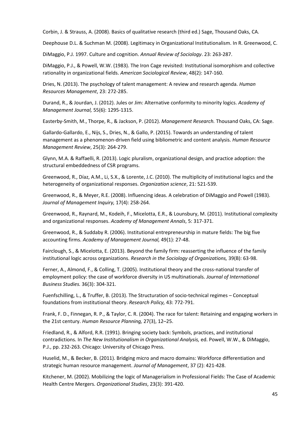Corbin, J. & Strauss, A. (2008). Basics of qualitative research (third ed.) Sage, Thousand Oaks, CA.

Deephouse D.L. & Suchman M. (2008). Legitimacy in Organizational Institutionalism. In R. Greenwood, C.

DiMaggio, P.J. 1997. Culture and cognition. *Annual Review of Sociology*. 23: 263-287.

DiMaggio, P.J., & Powell, W.W. (1983). The Iron Cage revisited: Institutional isomorphism and collective rationality in organizational fields. *American Sociological Review*, 48(2): 147-160.

Dries, N. (2013). The psychology of talent management: A review and research agenda*. Human Resources Management*, 23: 272-285.

Durand, R., & Jourdan, J. (2012). Jules or Jim: Alternative conformity to minority logics. *Academy of Management Journal,* 55(6): 1295-1315.

Easterby-Smith, M., Thorpe, R., & Jackson, P. (2012). *Management Research.* Thousand Oaks, CA: Sage.

Gallardo-Gallardo, E., Nijs, S., Dries, N., & Gallo, P. (2015). Towards an understanding of talent management as a phenomenon-driven field using bibliometric and content analysis. *Human Resource Management Review*, 25(3): 264-279.

Glynn, M.A. & Raffaelli, R. (2013). Logic pluralism, organizational design, and practice adoption: the structural embeddedness of CSR programs.

Greenwood, R., Díaz, A.M., Li, S.X., & Lorente, J.C. (2010). The multiplicity of institutional logics and the heterogeneity of organizational responses. *Organization science*, 21: 521-539.

Greenwood, R., & Meyer, R.E. (2008). Influencing ideas. A celebration of DiMaggio and Powell (1983). *Journal of Management Inquiry,* 17(4): 258-264.

Greenwood, R., Raynard, M., Kodeih, F., Micelotta, E.R., & Lounsbury, M. (2011). Institutional complexity and organizational responses. *Academy of Management Annals*, 5: 317-371.

Greenwood, R., & Suddaby R. (2006). Institutional entrepreneurship in mature fields: The big five accounting firms. *Academy of Management Journal,* 49(1): 27-48.

Fairclough, S., & Micelotta, E. (2013). Beyond the family firm: reasserting the influence of the family institutional logic across organizations. *Research in the Sociology of Organizations,* 39(B): 63-98.

Ferner, A., Almond, F., & Colling, T. (2005). Institutional theory and the cross-national transfer of employment policy: the case of workforce diversity in US multinationals. *Journal of International Business Studies.* 36(3): 304-321.

Fuenfschilling, L., & Truffer, B. (2013). The Structuration of socio-technical regimes – Conceptual foundations from institutional theory. *Research Policy,* 43: 772-791.

Frank, F. D., Finnegan, R. P., & Taylor, C. R. (2004). The race for talent: Retaining and engaging workers in the 21st century. *Human Resource Planning,* 27(3), 12–25.

Friedland, R., & Alford, R.R. (1991). Bringing society back: Symbols, practices, and institutional contradictions. In *The New Institutionalism in Organizational Analysis,* ed. Powell, W.W., & DiMaggio, P.J., pp. 232-263. Chicago: University of Chicago Press.

Huselid, M., & Becker, B. (2011). Bridging micro and macro domains: Workforce differentiation and strategic human resource management. *Journal of Management*, 37 (2): 421-428.

Kitchener, M. (2002). Mobilizing the logic of Managerialism in Professional Fields: The Case of Academic Health Centre Mergers. *Organizational Studies*, 23(3): 391-420.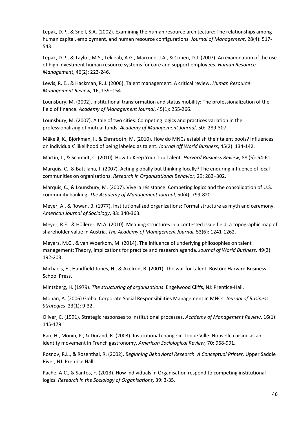Lepak, D.P., & Snell, S.A. (2002). Examining the human resource architecture: The relationships among human capital, employment, and human resource configurations. *Journal of Management*, 28(4): 517- 543.

Lepak, D.P., & Taylor, M.S., Tekleab, A.G., Marrone, J.A., & Cohen, D.J. (2007). An examination of the use of high investment human resource systems for core and support employees. *Human Resource Management*, 46(2): 223-246.

Lewis, R. E., & Hackman, R. J. (2006). Talent management: A critical review. *Human Resource Management Review,* 16, 139–154.

Lounsbury, M. (2002). Institutional transformation and status mobility: The professionalization of the field of finance. *Academy of Management Journal*, 45(1): 255-266.

Lounsbury, M. (2007). A tale of two cities: Competing logics and practices variation in the professionalizing of mutual funds. *Academy of Management Journal*, 50: 289-307.

Mӓkelӓ, K., Bjӧrkman, I., & Ehrnrooth, M. (2010). How do MNCs establish their talent pools? Influences on individuals' likelihood of being labeled as talent. *Journal off World Business*, 45(2): 134-142.

Martin, J., & Schmidt, C. (2010). How to Keep Your Top Talent. *Harvard Business Review,* 88 (5): 54-61.

Marquis, C., & Battilana, J. (2007). Acting globally but thinking locally? The enduring influence of local communities on organizations. *Research in Organizational Behavior,* 29: 283–302.

Marquis, C., & Lounsbury, M. (2007). Vive la résistance: Competing logics and the consolidation of U.S. community banking. *The Academy of Management Journal,* 50(4): 799-820.

Meyer, A., & Rowan, B. (1977). Institutionalized organizations: Formal structure as myth and ceremony. *American Journal of Sociology*, 83: 340-363.

Meyer, R.E., & Hӧllerer, M.A. (2010). Meaning structures in a contested issue field: a topographic map of shareholder value in Austria. *The Academy of Management Journal,* 53(6): 1241-1262.

Meyers, M.C., & van Woerkom, M. (2014). The influence of underlying philosophies on talent management: Theory, implications for practice and research agenda. *Journal of World Business,* 49(2): 192-203.

Michaels, E., Handfield-Jones, H., & Axelrod, B. (2001). The war for talent. Boston: Harvard Business School Press.

Mintzberg, H. (1979). *The structuring of organizations*. Engelwood Cliffs, NJ: Prentice-Hall.

Mohan, A. (2006) Global Corporate Social Responsibilities Management in MNCs. *Journal of Business Strategies*, 23(1): 9-32.

Oliver, C. (1991). Strategic responses to institutional processes. *Academy of Management Review*, 16(1): 145-179.

Rao, H., Monin, P., & Durand, R. (2003). Institutional change in Toque Ville: Nouvelle cuisine as an identity movement in French gastronomy. *American Sociological Review,* 70: 968-991.

Rosnov, R.L., & Rosenthal, R. (2002). *Beginning Behavioral Research. A Conceptual Primer.* Upper Saddle River, NJ: Prentice Hall.

Pache, A-C., & Santos, F. (2013). How individuals in Organisation respond to competing institutional logics. *Research in the Sociology of Organisations,* 39: 3-35.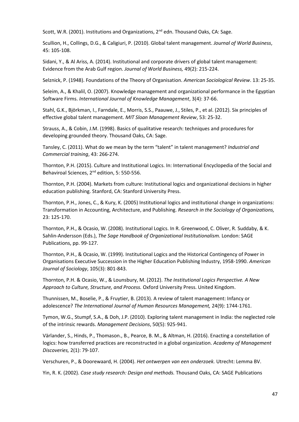Scott, W.R. (2001). Institutions and Organizations, 2<sup>nd</sup> edn. Thousand Oaks, CA: Sage.

Scullion, H., Collings, D.G., & Caligiuri, P. (2010). Global talent management. *Journal of World Business*, 45: 105-108.

Sidani, Y., & Al Ariss, A. (2014). Institutional and corporate drivers of global talent management: Evidence from the Arab Gulf region. *Journal of World Business,* 49(2): 215-224.

Selznick, P. (1948). Foundations of the Theory of Organisation. *American Sociological Review*. 13: 25-35.

Seleim, A., & Khalil, O. (2007). Knowledge management and organizational performance in the Egyptian Software Firms. *International Journal of Knowledge Management*, 3(4): 37-66.

Stahl, G.K., Björkman, I., Farndale, E., Morris, S.S., Paauwe, J., Stiles, P., et al. (2012). Six principles of effective global talent management. *MIT Sloan Management Review*, 53: 25-32.

Strauss, A., & Cobin, J.M. (1998). Basics of qualitative research: techniques and procedures for developing grounded theory. Thousand Oaks, CA: Sage.

Tansley, C. (2011). What do we mean by the term "talent" in talent management? *Industrial and Commercial training*, 43: 266-274.

Thornton, P.H. (2015). Culture and Institutional Logics. In: International Encyclopedia of the Social and Behaviroal Sciences, 2<sup>nd</sup> edition, 5: 550-556.

Thornton, P.H. (2004). Markets from culture: Institutional logics and organizational decisions in higher education publishing. Stanford, CA: Stanford University Press.

Thornton, P.H., Jones, C., & Kury, K. (2005) Institutional logics and institutional change in organizations: Transformation in Accounting, Architecture, and Publishing. *Research in the Sociology of Organizations,*  23: 125-170.

Thornton, P.H., & Ocasio, W. (2008). Institutional Logics. In R. Greenwood, C. Oliver, R. Suddaby, & K. Sahlin-Andersson (Eds.), *The Sage Handbook of Organizational Institutionalism.* London: SAGE Publications, pp. 99-127.

Thornton, P.H., & Ocasio, W. (1999). Institutional Logics and the Historical Contingency of Power in Organisations Executive Succession in the Higher Education Publishing Industry, 1958-1990. *American Journal of Sociology*, 105(3): 801-843.

Thornton, P.H. & Ocasio, W., & Lounsbury, M. (2012). *The Institutional Logics Perspective. A New Approach to Culture, Structure, and Process.* Oxford University Press. United Kingdom.

Thunnissen, M., Boselie, P., & Fruytier, B. (2013). A review of talent management: Infancy or adolescence? *The International Journal of Human Resources Management,* 24(9): 1744-1761.

Tymon, W.G., Stumpf, S.A., & Doh, J.P. (2010). Exploring talent management in India: the neglected role of the intrinsic rewards. *Management Decisions*, 50(5): 925-941.

Värlander, S., Hinds, P., Thomason., B., Pearce, B. M., & Altman, H. (2016). Enacting a constellation of logics: how transferred practices are reconstructed in a global organization. *Academy of Management Discoveries,* 2(1): 79-107.

Verschuren, P., & Doorewaard, H. (2004). *Het ontwerpen van een onderzoek.* Utrecht: Lemma BV.

Yin, R. K. (2002). *Case study research: Design and methods.* Thousand Oaks, CA: SAGE Publications